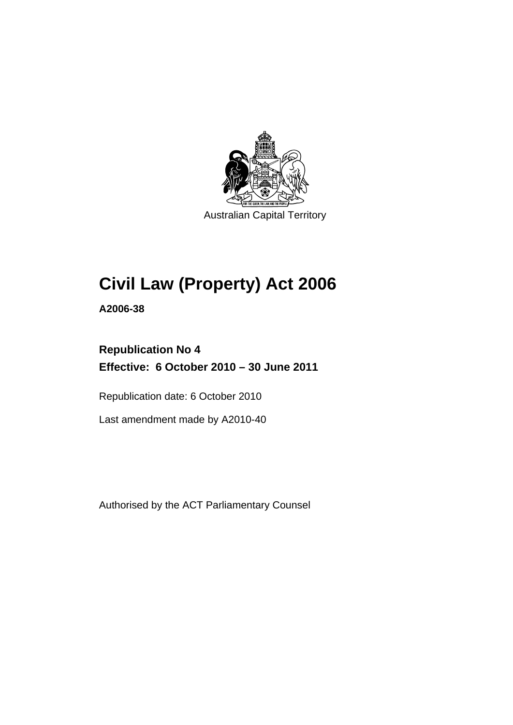

Australian Capital Territory

# **Civil Law (Property) Act 2006**

**A2006-38** 

# **Republication No 4 Effective: 6 October 2010 – 30 June 2011**

Republication date: 6 October 2010

Last amendment made by A2010-40

Authorised by the ACT Parliamentary Counsel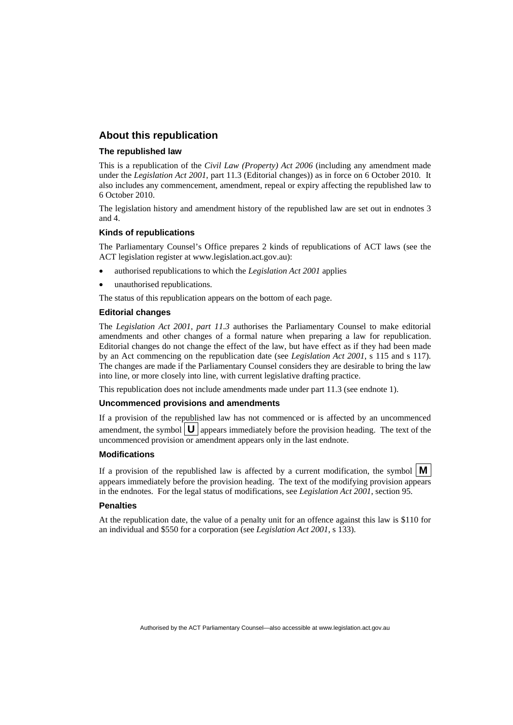#### **About this republication**

#### **The republished law**

This is a republication of the *Civil Law (Property) Act 2006* (including any amendment made under the *Legislation Act 2001*, part 11.3 (Editorial changes)) as in force on 6 October 2010*.* It also includes any commencement, amendment, repeal or expiry affecting the republished law to 6 October 2010.

The legislation history and amendment history of the republished law are set out in endnotes 3 and 4.

#### **Kinds of republications**

The Parliamentary Counsel's Office prepares 2 kinds of republications of ACT laws (see the ACT legislation register at www.legislation.act.gov.au):

- authorised republications to which the *Legislation Act 2001* applies
- unauthorised republications.

The status of this republication appears on the bottom of each page.

#### **Editorial changes**

The *Legislation Act 2001, part 11.3* authorises the Parliamentary Counsel to make editorial amendments and other changes of a formal nature when preparing a law for republication. Editorial changes do not change the effect of the law, but have effect as if they had been made by an Act commencing on the republication date (see *Legislation Act 2001*, s 115 and s 117). The changes are made if the Parliamentary Counsel considers they are desirable to bring the law into line, or more closely into line, with current legislative drafting practice.

This republication does not include amendments made under part 11.3 (see endnote 1).

#### **Uncommenced provisions and amendments**

If a provision of the republished law has not commenced or is affected by an uncommenced amendment, the symbol  $\mathbf{U}$  appears immediately before the provision heading. The text of the uncommenced provision  $\overline{or}$  amendment appears only in the last endnote.

#### **Modifications**

If a provision of the republished law is affected by a current modification, the symbol  $\mathbf{M}$ appears immediately before the provision heading. The text of the modifying provision appears in the endnotes. For the legal status of modifications, see *Legislation Act 2001*, section 95.

#### **Penalties**

At the republication date, the value of a penalty unit for an offence against this law is \$110 for an individual and \$550 for a corporation (see *Legislation Act 2001*, s 133).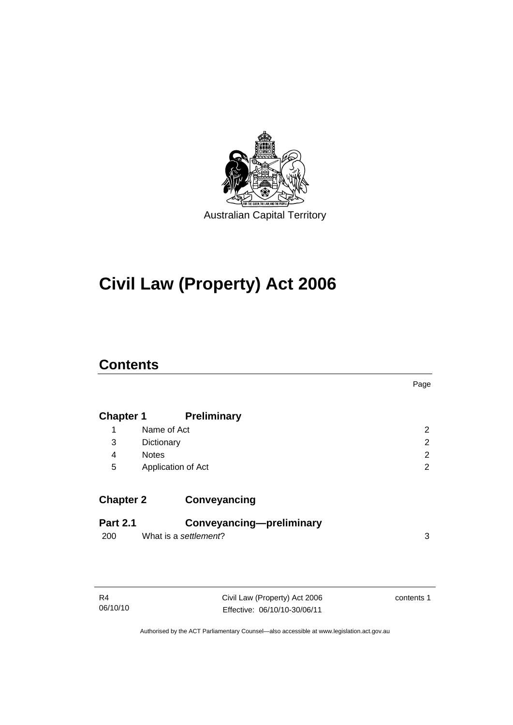

# **Civil Law (Property) Act 2006**

# **Contents**

|                  |                          | Page           |
|------------------|--------------------------|----------------|
| <b>Chapter 1</b> | <b>Preliminary</b>       |                |
| 1                | Name of Act              | $\overline{2}$ |
| 3                | Dictionary               | 2              |
| 4                | <b>Notes</b>             | 2              |
| 5                | Application of Act       | 2              |
| <b>Chapter 2</b> | Conveyancing             |                |
| <b>Part 2.1</b>  | Conveyancing-preliminary |                |
| 200              | What is a settlement?    | 3              |

| R4       | Civil Law (Property) Act 2006 | contents 1 |
|----------|-------------------------------|------------|
| 06/10/10 | Effective: 06/10/10-30/06/11  |            |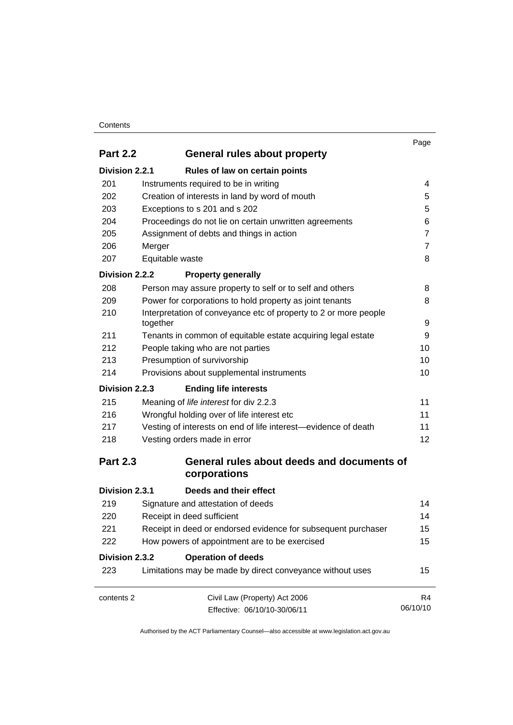#### **Contents**

|                 |                                                                                                               | Page           |  |
|-----------------|---------------------------------------------------------------------------------------------------------------|----------------|--|
| <b>Part 2.2</b> | General rules about property                                                                                  |                |  |
| Division 2.2.1  | Rules of law on certain points                                                                                |                |  |
| 201             | Instruments required to be in writing                                                                         | 4              |  |
| 202             | Creation of interests in land by word of mouth                                                                | 5              |  |
| 203             | Exceptions to s 201 and s 202                                                                                 | 5              |  |
| 204             | Proceedings do not lie on certain unwritten agreements                                                        | 6              |  |
| 205             | Assignment of debts and things in action                                                                      | $\overline{7}$ |  |
| 206             | Merger                                                                                                        | $\overline{7}$ |  |
| 207             | Equitable waste                                                                                               | 8              |  |
| Division 2.2.2  | <b>Property generally</b>                                                                                     |                |  |
| 208             | Person may assure property to self or to self and others                                                      | 8              |  |
| 209             | Power for corporations to hold property as joint tenants                                                      | 8              |  |
| 210             | Interpretation of conveyance etc of property to 2 or more people<br>together                                  | 9              |  |
| 211             | Tenants in common of equitable estate acquiring legal estate                                                  | 9              |  |
| 212             | People taking who are not parties<br>Presumption of survivorship<br>Provisions about supplemental instruments | 10             |  |
| 213             |                                                                                                               | 10<br>10       |  |
| 214             |                                                                                                               |                |  |
| Division 2.2.3  | <b>Ending life interests</b>                                                                                  |                |  |
| 215             | Meaning of life interest for div 2.2.3                                                                        | 11             |  |
| 216             | Wrongful holding over of life interest etc                                                                    | 11             |  |
| 217             | Vesting of interests on end of life interest—evidence of death                                                | 11             |  |
| 218             | Vesting orders made in error                                                                                  |                |  |
| <b>Part 2.3</b> | General rules about deeds and documents of<br>corporations                                                    |                |  |
| Division 2.3.1  | Deeds and their effect                                                                                        |                |  |
| 219             | Signature and attestation of deeds                                                                            | 14             |  |
| 220             | Receipt in deed sufficient                                                                                    | 14             |  |
| 221             | Receipt in deed or endorsed evidence for subsequent purchaser                                                 | 15             |  |
| 222             | How powers of appointment are to be exercised                                                                 | 15             |  |
| Division 2.3.2  | <b>Operation of deeds</b>                                                                                     |                |  |
| 223             | Limitations may be made by direct conveyance without uses                                                     | 15             |  |
| contents 2      | Civil Law (Property) Act 2006                                                                                 | R4             |  |
|                 | Effective: 06/10/10-30/06/11                                                                                  | 06/10/10       |  |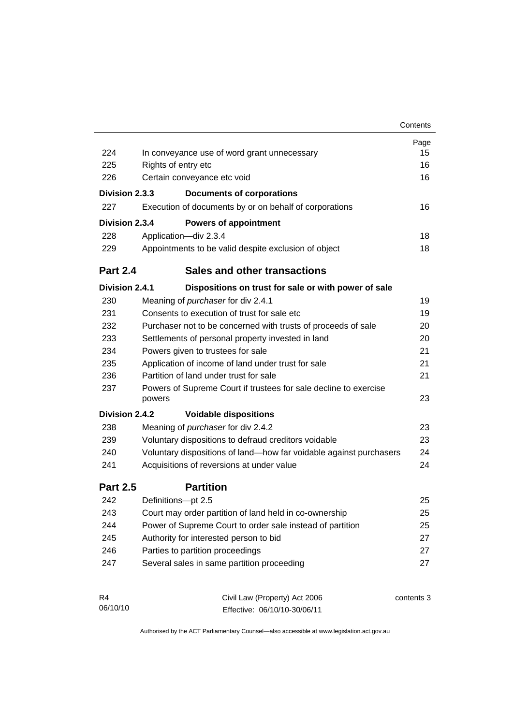|                 |                                                   |                                                                    | Contents   |
|-----------------|---------------------------------------------------|--------------------------------------------------------------------|------------|
|                 |                                                   |                                                                    | Page       |
| 224             | In conveyance use of word grant unnecessary       |                                                                    |            |
| 225             | Rights of entry etc                               |                                                                    | 16         |
| 226             |                                                   | Certain conveyance etc void                                        | 16         |
| Division 2.3.3  |                                                   | <b>Documents of corporations</b>                                   |            |
| 227             |                                                   | Execution of documents by or on behalf of corporations             | 16         |
| Division 2.3.4  |                                                   | <b>Powers of appointment</b>                                       |            |
| 228             |                                                   | Application-div 2.3.4                                              | 18         |
| 229             |                                                   | Appointments to be valid despite exclusion of object               | 18         |
| <b>Part 2.4</b> |                                                   | <b>Sales and other transactions</b>                                |            |
| Division 2.4.1  |                                                   | Dispositions on trust for sale or with power of sale               |            |
| 230             |                                                   | Meaning of purchaser for div 2.4.1                                 | 19         |
| 231             |                                                   | Consents to execution of trust for sale etc.                       | 19         |
| 232             |                                                   | Purchaser not to be concerned with trusts of proceeds of sale      | 20         |
| 233             | Settlements of personal property invested in land |                                                                    | 20         |
| 234             |                                                   | Powers given to trustees for sale                                  | 21         |
| 235             |                                                   | Application of income of land under trust for sale                 | 21         |
| 236             |                                                   | Partition of land under trust for sale                             | 21         |
| 237             | powers                                            | Powers of Supreme Court if trustees for sale decline to exercise   | 23         |
| Division 2.4.2  |                                                   | <b>Voidable dispositions</b>                                       |            |
| 238             |                                                   | Meaning of purchaser for div 2.4.2                                 | 23         |
| 239             |                                                   | Voluntary dispositions to defraud creditors voidable               | 23         |
| 240             |                                                   | Voluntary dispositions of land-how far voidable against purchasers | 24         |
| 241             |                                                   | Acquisitions of reversions at under value                          | 24         |
| <b>Part 2.5</b> |                                                   | <b>Partition</b>                                                   |            |
| 242             | Definitions-pt 2.5                                |                                                                    | 25         |
| 243             |                                                   | Court may order partition of land held in co-ownership             | 25         |
| 244             |                                                   | Power of Supreme Court to order sale instead of partition          | 25         |
| 245             |                                                   | Authority for interested person to bid                             | 27         |
| 246             |                                                   | Parties to partition proceedings                                   | 27         |
| 247             |                                                   | Several sales in same partition proceeding                         | 27         |
| R4              |                                                   | Civil Law (Property) Act 2006                                      | contents 3 |

Authorised by the ACT Parliamentary Counsel—also accessible at www.legislation.act.gov.au

Effective: 06/10/10-30/06/11

06/10/10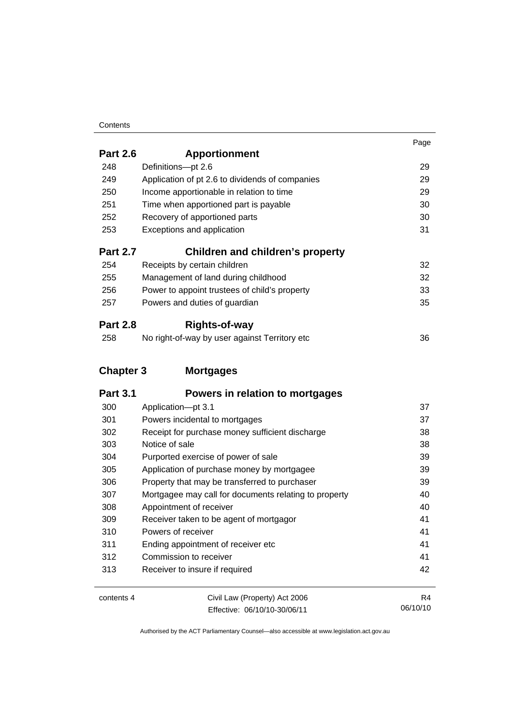#### **Contents**

|                  |                                                       | Page |
|------------------|-------------------------------------------------------|------|
| <b>Part 2.6</b>  | <b>Apportionment</b>                                  |      |
| 248              | Definitions-pt 2.6                                    | 29   |
| 249              | Application of pt 2.6 to dividends of companies       | 29   |
| 250              | Income apportionable in relation to time              | 29   |
| 251              | Time when apportioned part is payable                 | 30   |
| 252              | Recovery of apportioned parts                         | 30   |
| 253              | Exceptions and application                            | 31   |
| <b>Part 2.7</b>  | <b>Children and children's property</b>               |      |
| 254              | Receipts by certain children                          | 32   |
| 255              | Management of land during childhood                   | 32   |
| 256              | Power to appoint trustees of child's property         | 33   |
| 257              | Powers and duties of guardian                         | 35   |
| <b>Part 2.8</b>  | <b>Rights-of-way</b>                                  |      |
| 258              | No right-of-way by user against Territory etc         | 36   |
| <b>Chapter 3</b> | <b>Mortgages</b>                                      |      |
| <b>Part 3.1</b>  | Powers in relation to mortgages                       |      |
| 300              | Application-pt 3.1                                    | 37   |
| 301              | Powers incidental to mortgages                        | 37   |
| 302              | Receipt for purchase money sufficient discharge       | 38   |
| 303              | Notice of sale                                        | 38   |
| 304              | Purported exercise of power of sale                   | 39   |
| 305              | Application of purchase money by mortgagee            | 39   |
| 306              | Property that may be transferred to purchaser         | 39   |
| 307              | Mortgagee may call for documents relating to property | 40   |
| 308              | Appointment of receiver                               | 40   |
| 309              | Receiver taken to be agent of mortgagor               | 41   |
| 310              | Powers of receiver                                    | 41   |
| 311              | Ending appointment of receiver etc                    | 41   |
| 312              | Commission to receiver                                | 41   |

| contents 4 | Civil Law (Property) Act 2006 | R4       |
|------------|-------------------------------|----------|
|            | Effective: 06/10/10-30/06/11  | 06/10/10 |

313 Receiver to insure if required 42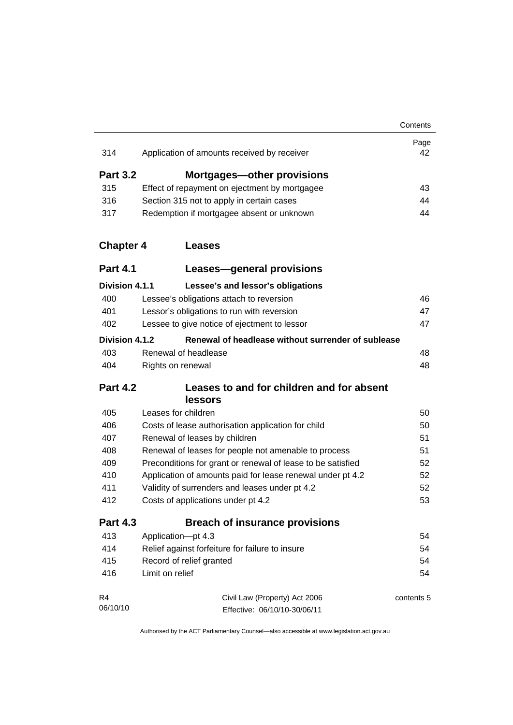|                  |                                                             | Contents   |
|------------------|-------------------------------------------------------------|------------|
| 314              | Application of amounts received by receiver                 | Page<br>42 |
|                  |                                                             |            |
| <b>Part 3.2</b>  | Mortgages-other provisions                                  |            |
| 315              | Effect of repayment on ejectment by mortgagee               | 43         |
| 316              | Section 315 not to apply in certain cases                   | 44         |
| 317              | Redemption if mortgagee absent or unknown                   | 44         |
| <b>Chapter 4</b> | <b>Leases</b>                                               |            |
| <b>Part 4.1</b>  | Leases-general provisions                                   |            |
| Division 4.1.1   | Lessee's and lessor's obligations                           |            |
| 400              | Lessee's obligations attach to reversion                    | 46         |
| 401              | Lessor's obligations to run with reversion                  | 47         |
| 402              | Lessee to give notice of ejectment to lessor                | 47         |
| Division 4.1.2   | Renewal of headlease without surrender of sublease          |            |
| 403              | Renewal of headlease                                        | 48         |
| 404              | Rights on renewal                                           | 48         |
| <b>Part 4.2</b>  | Leases to and for children and for absent<br><b>lessors</b> |            |
| 405              | Leases for children                                         | 50         |
| 406              | Costs of lease authorisation application for child          | 50         |
| 407              | Renewal of leases by children                               | 51         |
| 408              | Renewal of leases for people not amenable to process        | 51         |
| 409              | Preconditions for grant or renewal of lease to be satisfied | 52         |
| 410              | Application of amounts paid for lease renewal under pt 4.2  | 52         |
| 411              | Validity of surrenders and leases under pt 4.2              | 52         |
| 412              | Costs of applications under pt 4.2                          | 53         |
| <b>Part 4.3</b>  | <b>Breach of insurance provisions</b>                       |            |
| 413              | Application-pt 4.3                                          | 54         |
| 414              | Relief against forfeiture for failure to insure             | 54         |
| 415              | Record of relief granted                                    | 54         |
| 416              | Limit on relief                                             | 54         |
| R4               | Civil Law (Property) Act 2006                               | contents 5 |
| 06/10/10         | Effective: 06/10/10-30/06/11                                |            |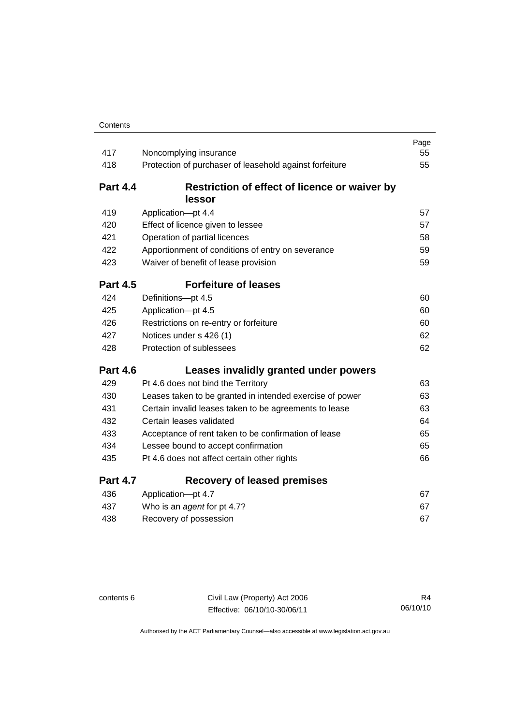| 417             | Noncomplying insurance                                   | Page<br>55 |
|-----------------|----------------------------------------------------------|------------|
| 418             | Protection of purchaser of leasehold against forfeiture  | 55         |
|                 |                                                          |            |
| <b>Part 4.4</b> | Restriction of effect of licence or waiver by            |            |
|                 | lessor                                                   |            |
| 419             | Application-pt 4.4                                       | 57         |
| 420             | Effect of licence given to lessee                        | 57         |
| 421             | Operation of partial licences                            | 58         |
| 422             | Apportionment of conditions of entry on severance        | 59         |
| 423             | Waiver of benefit of lease provision                     | 59         |
| <b>Part 4.5</b> | <b>Forfeiture of leases</b>                              |            |
| 424             | Definitions-pt 4.5                                       | 60         |
| 425             | Application-pt 4.5                                       | 60         |
| 426             | Restrictions on re-entry or forfeiture                   | 60         |
| 427             | Notices under s 426 (1)                                  | 62         |
| 428             | Protection of sublessees                                 | 62         |
| <b>Part 4.6</b> | Leases invalidly granted under powers                    |            |
| 429             | Pt 4.6 does not bind the Territory                       | 63         |
| 430             | Leases taken to be granted in intended exercise of power | 63         |
| 431             | Certain invalid leases taken to be agreements to lease   | 63         |
| 432             | Certain leases validated                                 | 64         |
| 433             | Acceptance of rent taken to be confirmation of lease     | 65         |
| 434             | Lessee bound to accept confirmation                      | 65         |
| 435             | Pt 4.6 does not affect certain other rights              | 66         |
| <b>Part 4.7</b> | <b>Recovery of leased premises</b>                       |            |
| 436             | Application-pt 4.7                                       | 67         |
| 437             | Who is an agent for pt 4.7?                              | 67         |
| 438             | Recovery of possession                                   | 67         |

contents 6 Civil Law (Property) Act 2006 Effective: 06/10/10-30/06/11

R4 06/10/10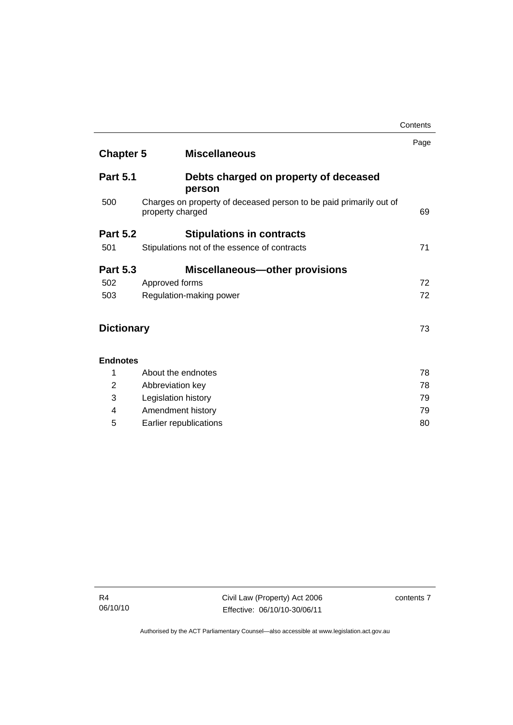| <b>Chapter 5</b><br><b>Miscellaneous</b>                                               | Page                                       |
|----------------------------------------------------------------------------------------|--------------------------------------------|
| Debts charged on property of deceased                                                  |                                            |
| Charges on property of deceased person to be paid primarily out of<br>property charged | 69                                         |
|                                                                                        |                                            |
| Stipulations not of the essence of contracts                                           | 71                                         |
| <b>Miscellaneous-other provisions</b>                                                  |                                            |
| Approved forms                                                                         | 72                                         |
| Regulation-making power                                                                | 72                                         |
| <b>Dictionary</b>                                                                      | 73                                         |
| <b>Endnotes</b>                                                                        |                                            |
| About the endnotes                                                                     | 78                                         |
| Abbreviation key                                                                       | 78                                         |
| Legislation history                                                                    | 79                                         |
| Amendment history                                                                      | 79                                         |
| Earlier republications                                                                 | 80                                         |
|                                                                                        | person<br><b>Stipulations in contracts</b> |

 $\overline{\phantom{0}}$ 

**Contents**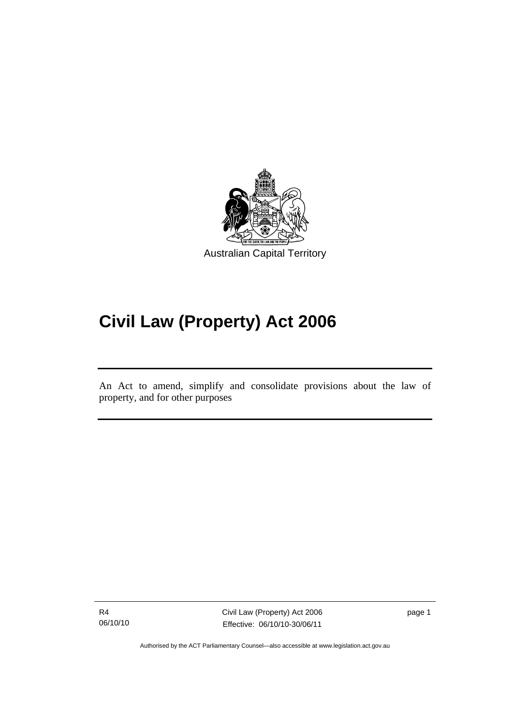

# **Civil Law (Property) Act 2006**

An Act to amend, simplify and consolidate provisions about the law of property, and for other purposes

R4 06/10/10

l

Civil Law (Property) Act 2006 Effective: 06/10/10-30/06/11

page 1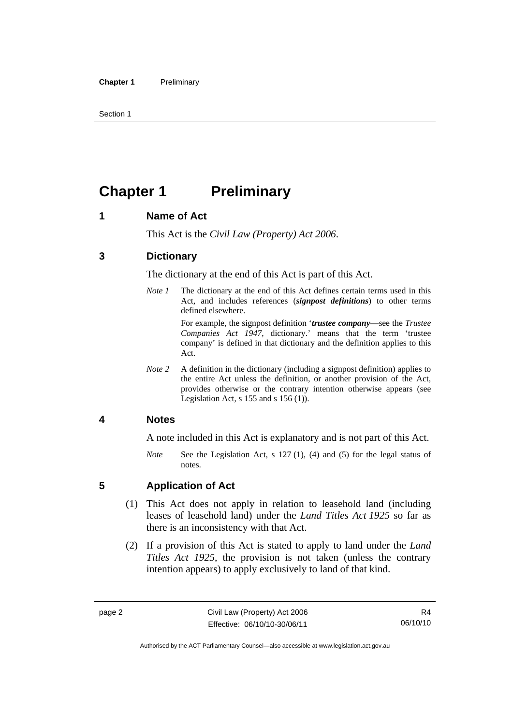Section 1

# **Chapter 1** Preliminary

#### **1 Name of Act**

This Act is the *Civil Law (Property) Act 2006*.

#### **3 Dictionary**

The dictionary at the end of this Act is part of this Act.

*Note 1* The dictionary at the end of this Act defines certain terms used in this Act, and includes references (*signpost definitions*) to other terms defined elsewhere.

> For example, the signpost definition '*trustee company*—see the *Trustee Companies Act 1947*, dictionary.' means that the term 'trustee company' is defined in that dictionary and the definition applies to this Act.

*Note 2* A definition in the dictionary (including a signpost definition) applies to the entire Act unless the definition, or another provision of the Act, provides otherwise or the contrary intention otherwise appears (see Legislation Act,  $s$  155 and  $s$  156 (1)).

#### **4 Notes**

A note included in this Act is explanatory and is not part of this Act.

*Note* See the Legislation Act, s 127 (1), (4) and (5) for the legal status of notes.

#### **5 Application of Act**

- (1) This Act does not apply in relation to leasehold land (including leases of leasehold land) under the *Land Titles Act 1925* so far as there is an inconsistency with that Act.
- (2) If a provision of this Act is stated to apply to land under the *Land Titles Act 1925*, the provision is not taken (unless the contrary intention appears) to apply exclusively to land of that kind.

R4 06/10/10

Authorised by the ACT Parliamentary Counsel—also accessible at www.legislation.act.gov.au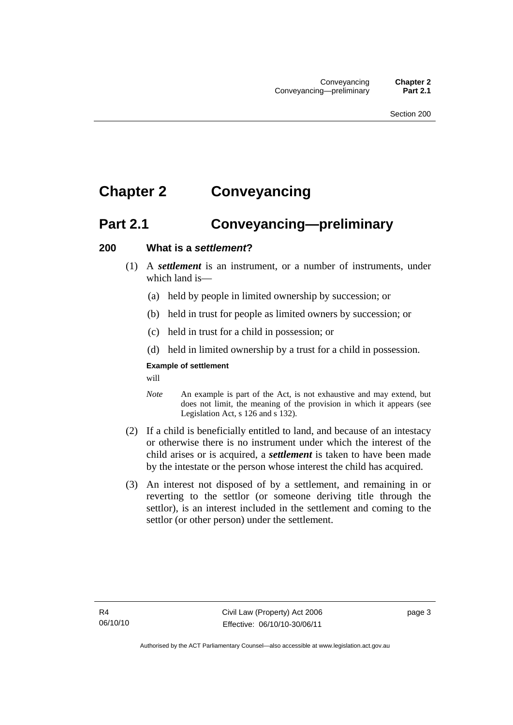# **Chapter 2 Conveyancing**

# **Part 2.1 Conveyancing—preliminary**

#### **200 What is a** *settlement***?**

- (1) A *settlement* is an instrument, or a number of instruments, under which land is—
	- (a) held by people in limited ownership by succession; or
	- (b) held in trust for people as limited owners by succession; or
	- (c) held in trust for a child in possession; or
	- (d) held in limited ownership by a trust for a child in possession.

#### **Example of settlement**

will

- *Note* An example is part of the Act, is not exhaustive and may extend, but does not limit, the meaning of the provision in which it appears (see Legislation Act, s 126 and s 132).
- (2) If a child is beneficially entitled to land, and because of an intestacy or otherwise there is no instrument under which the interest of the child arises or is acquired, a *settlement* is taken to have been made by the intestate or the person whose interest the child has acquired.
- (3) An interest not disposed of by a settlement, and remaining in or reverting to the settlor (or someone deriving title through the settlor), is an interest included in the settlement and coming to the settlor (or other person) under the settlement.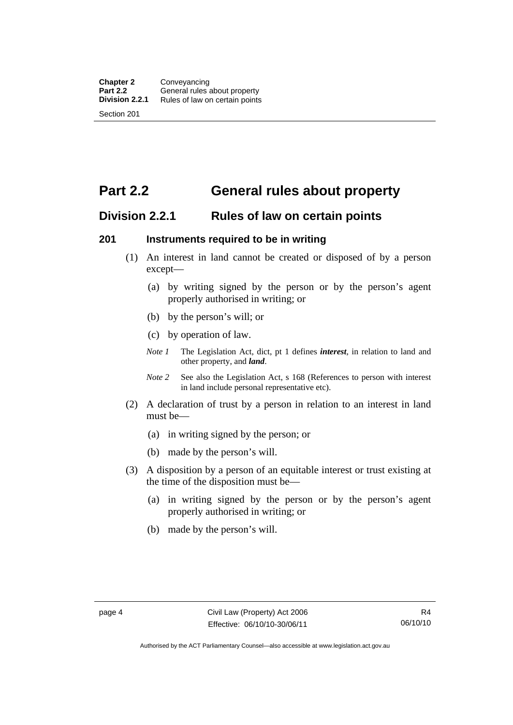# **Part 2.2 General rules about property**

#### **Division 2.2.1 Rules of law on certain points**

#### **201 Instruments required to be in writing**

- (1) An interest in land cannot be created or disposed of by a person except—
	- (a) by writing signed by the person or by the person's agent properly authorised in writing; or
	- (b) by the person's will; or
	- (c) by operation of law.
	- *Note 1* The Legislation Act, dict, pt 1 defines *interest*, in relation to land and other property, and *land*.
	- *Note* 2 See also the Legislation Act, s 168 (References to person with interest in land include personal representative etc).
- (2) A declaration of trust by a person in relation to an interest in land must be—
	- (a) in writing signed by the person; or
	- (b) made by the person's will.
- (3) A disposition by a person of an equitable interest or trust existing at the time of the disposition must be—
	- (a) in writing signed by the person or by the person's agent properly authorised in writing; or
	- (b) made by the person's will.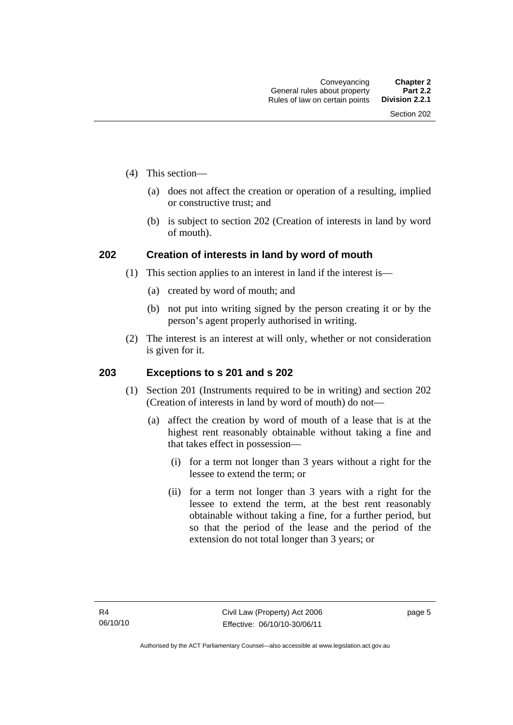- (4) This section—
	- (a) does not affect the creation or operation of a resulting, implied or constructive trust; and
	- (b) is subject to section 202 (Creation of interests in land by word of mouth).

#### **202 Creation of interests in land by word of mouth**

- (1) This section applies to an interest in land if the interest is—
	- (a) created by word of mouth; and
	- (b) not put into writing signed by the person creating it or by the person's agent properly authorised in writing.
- (2) The interest is an interest at will only, whether or not consideration is given for it.

#### **203 Exceptions to s 201 and s 202**

- (1) Section 201 (Instruments required to be in writing) and section 202 (Creation of interests in land by word of mouth) do not—
	- (a) affect the creation by word of mouth of a lease that is at the highest rent reasonably obtainable without taking a fine and that takes effect in possession—
		- (i) for a term not longer than 3 years without a right for the lessee to extend the term; or
		- (ii) for a term not longer than 3 years with a right for the lessee to extend the term, at the best rent reasonably obtainable without taking a fine, for a further period, but so that the period of the lease and the period of the extension do not total longer than 3 years; or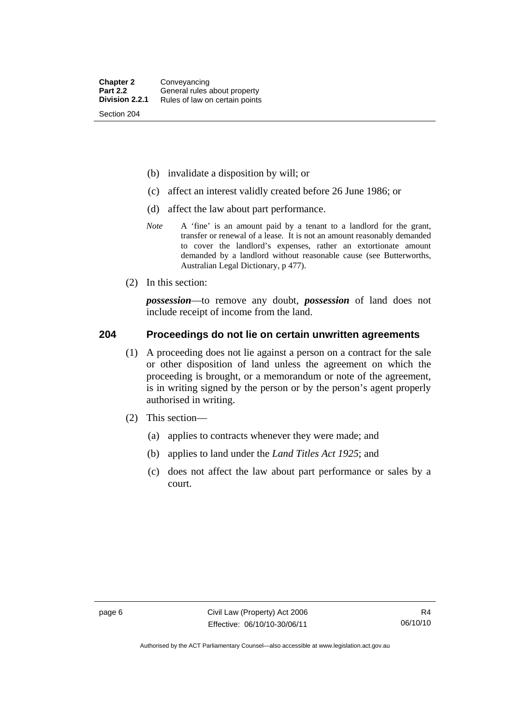- (b) invalidate a disposition by will; or
- (c) affect an interest validly created before 26 June 1986; or
- (d) affect the law about part performance.
- *Note* A 'fine' is an amount paid by a tenant to a landlord for the grant, transfer or renewal of a lease. It is not an amount reasonably demanded to cover the landlord's expenses, rather an extortionate amount demanded by a landlord without reasonable cause (see Butterworths, Australian Legal Dictionary, p 477).
- (2) In this section:

*possession*—to remove any doubt, *possession* of land does not include receipt of income from the land.

#### **204 Proceedings do not lie on certain unwritten agreements**

- (1) A proceeding does not lie against a person on a contract for the sale or other disposition of land unless the agreement on which the proceeding is brought, or a memorandum or note of the agreement, is in writing signed by the person or by the person's agent properly authorised in writing.
- (2) This section—
	- (a) applies to contracts whenever they were made; and
	- (b) applies to land under the *Land Titles Act 1925*; and
	- (c) does not affect the law about part performance or sales by a court.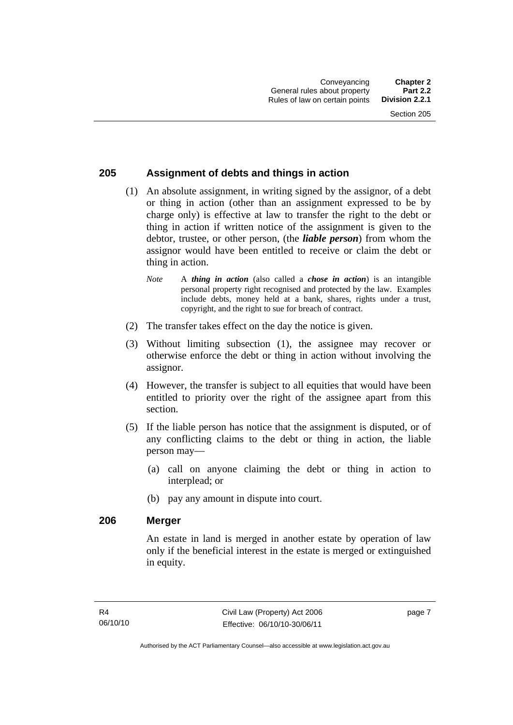#### **205 Assignment of debts and things in action**

- (1) An absolute assignment, in writing signed by the assignor, of a debt or thing in action (other than an assignment expressed to be by charge only) is effective at law to transfer the right to the debt or thing in action if written notice of the assignment is given to the debtor, trustee, or other person, (the *liable person*) from whom the assignor would have been entitled to receive or claim the debt or thing in action.
	- *Note* A *thing in action* (also called a *chose in action*) is an intangible personal property right recognised and protected by the law. Examples include debts, money held at a bank, shares, rights under a trust, copyright, and the right to sue for breach of contract.
- (2) The transfer takes effect on the day the notice is given.
- (3) Without limiting subsection (1), the assignee may recover or otherwise enforce the debt or thing in action without involving the assignor.
- (4) However, the transfer is subject to all equities that would have been entitled to priority over the right of the assignee apart from this section.
- (5) If the liable person has notice that the assignment is disputed, or of any conflicting claims to the debt or thing in action, the liable person may—
	- (a) call on anyone claiming the debt or thing in action to interplead; or
	- (b) pay any amount in dispute into court.

#### **206 Merger**

An estate in land is merged in another estate by operation of law only if the beneficial interest in the estate is merged or extinguished in equity.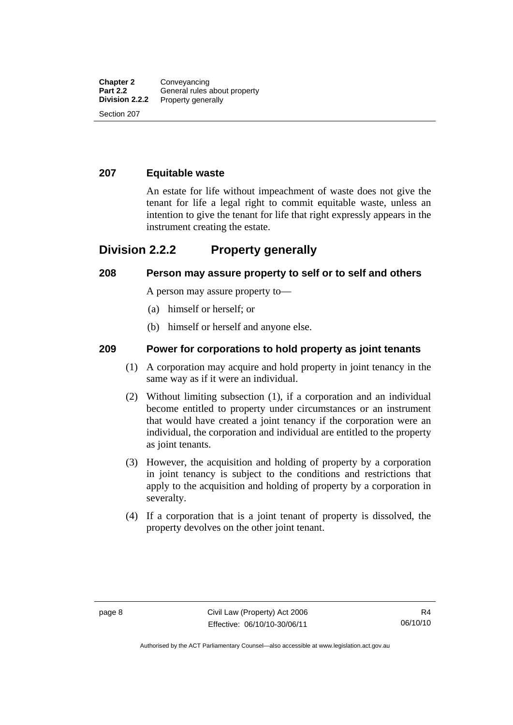#### **207 Equitable waste**

An estate for life without impeachment of waste does not give the tenant for life a legal right to commit equitable waste, unless an intention to give the tenant for life that right expressly appears in the instrument creating the estate.

### **Division 2.2.2 Property generally**

#### **208 Person may assure property to self or to self and others**

A person may assure property to—

- (a) himself or herself; or
- (b) himself or herself and anyone else.

#### **209 Power for corporations to hold property as joint tenants**

- (1) A corporation may acquire and hold property in joint tenancy in the same way as if it were an individual.
- (2) Without limiting subsection (1), if a corporation and an individual become entitled to property under circumstances or an instrument that would have created a joint tenancy if the corporation were an individual, the corporation and individual are entitled to the property as joint tenants.
- (3) However, the acquisition and holding of property by a corporation in joint tenancy is subject to the conditions and restrictions that apply to the acquisition and holding of property by a corporation in severalty.
- (4) If a corporation that is a joint tenant of property is dissolved, the property devolves on the other joint tenant.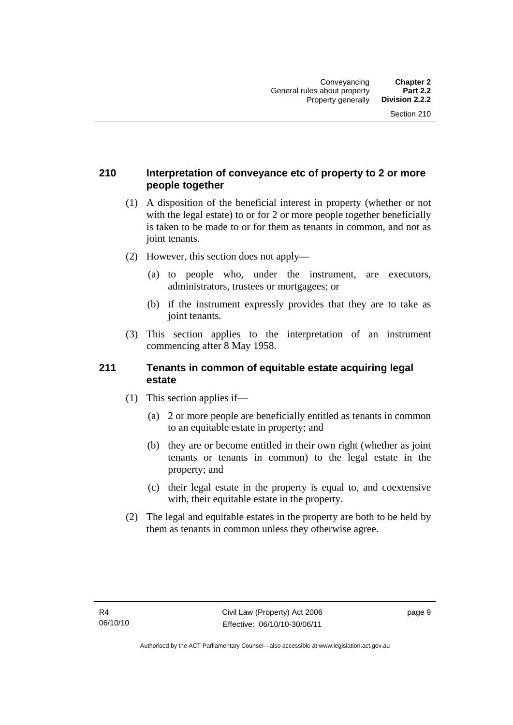#### **210 Interpretation of conveyance etc of property to 2 or more people together**

- (1) A disposition of the beneficial interest in property (whether or not with the legal estate) to or for 2 or more people together beneficially is taken to be made to or for them as tenants in common, and not as joint tenants.
- (2) However, this section does not apply—
	- (a) to people who, under the instrument, are executors, administrators, trustees or mortgagees; or
	- (b) if the instrument expressly provides that they are to take as joint tenants.
- (3) This section applies to the interpretation of an instrument commencing after 8 May 1958.

#### **211 Tenants in common of equitable estate acquiring legal estate**

- (1) This section applies if—
	- (a) 2 or more people are beneficially entitled as tenants in common to an equitable estate in property; and
	- (b) they are or become entitled in their own right (whether as joint tenants or tenants in common) to the legal estate in the property; and
	- (c) their legal estate in the property is equal to, and coextensive with, their equitable estate in the property.
- (2) The legal and equitable estates in the property are both to be held by them as tenants in common unless they otherwise agree.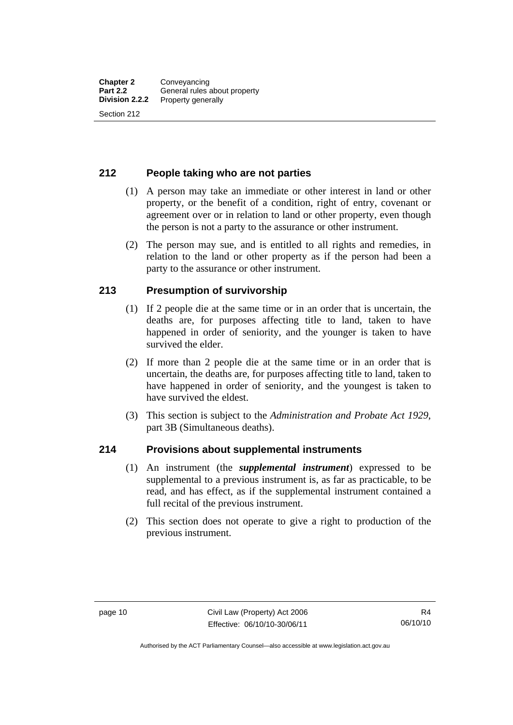#### **212 People taking who are not parties**

- (1) A person may take an immediate or other interest in land or other property, or the benefit of a condition, right of entry, covenant or agreement over or in relation to land or other property, even though the person is not a party to the assurance or other instrument.
- (2) The person may sue, and is entitled to all rights and remedies, in relation to the land or other property as if the person had been a party to the assurance or other instrument.

#### **213 Presumption of survivorship**

- (1) If 2 people die at the same time or in an order that is uncertain, the deaths are, for purposes affecting title to land, taken to have happened in order of seniority, and the younger is taken to have survived the elder.
- (2) If more than 2 people die at the same time or in an order that is uncertain, the deaths are, for purposes affecting title to land, taken to have happened in order of seniority, and the youngest is taken to have survived the eldest.
- (3) This section is subject to the *Administration and Probate Act 1929*, part 3B (Simultaneous deaths).

#### **214 Provisions about supplemental instruments**

- (1) An instrument (the *supplemental instrument*) expressed to be supplemental to a previous instrument is, as far as practicable, to be read, and has effect, as if the supplemental instrument contained a full recital of the previous instrument.
- (2) This section does not operate to give a right to production of the previous instrument.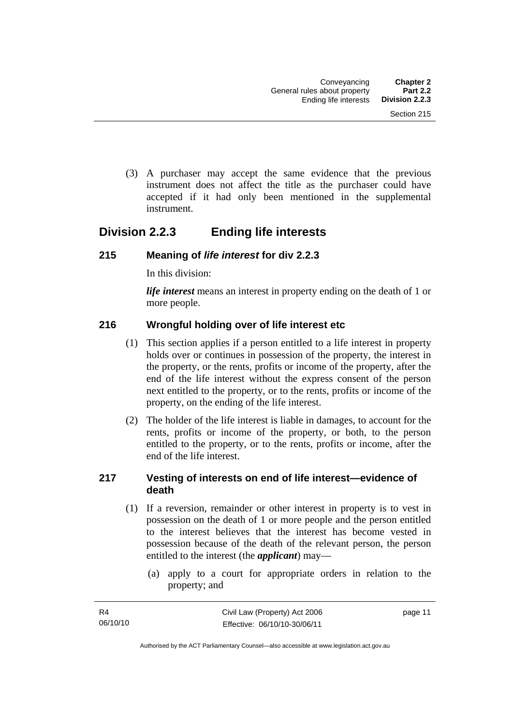(3) A purchaser may accept the same evidence that the previous instrument does not affect the title as the purchaser could have accepted if it had only been mentioned in the supplemental instrument.

## **Division 2.2.3 Ending life interests**

#### **215 Meaning of** *life interest* **for div 2.2.3**

In this division:

*life interest* means an interest in property ending on the death of 1 or more people.

#### **216 Wrongful holding over of life interest etc**

- (1) This section applies if a person entitled to a life interest in property holds over or continues in possession of the property, the interest in the property, or the rents, profits or income of the property, after the end of the life interest without the express consent of the person next entitled to the property, or to the rents, profits or income of the property, on the ending of the life interest.
- (2) The holder of the life interest is liable in damages, to account for the rents, profits or income of the property, or both, to the person entitled to the property, or to the rents, profits or income, after the end of the life interest.

#### **217 Vesting of interests on end of life interest—evidence of death**

- (1) If a reversion, remainder or other interest in property is to vest in possession on the death of 1 or more people and the person entitled to the interest believes that the interest has become vested in possession because of the death of the relevant person, the person entitled to the interest (the *applicant*) may—
	- (a) apply to a court for appropriate orders in relation to the property; and

page 11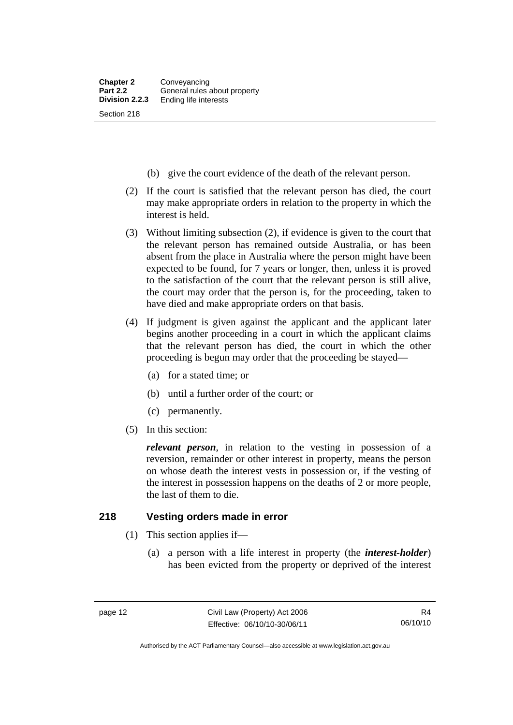- (b) give the court evidence of the death of the relevant person.
- (2) If the court is satisfied that the relevant person has died, the court may make appropriate orders in relation to the property in which the interest is held.
- (3) Without limiting subsection (2), if evidence is given to the court that the relevant person has remained outside Australia, or has been absent from the place in Australia where the person might have been expected to be found, for 7 years or longer, then, unless it is proved to the satisfaction of the court that the relevant person is still alive, the court may order that the person is, for the proceeding, taken to have died and make appropriate orders on that basis.
- (4) If judgment is given against the applicant and the applicant later begins another proceeding in a court in which the applicant claims that the relevant person has died, the court in which the other proceeding is begun may order that the proceeding be stayed—
	- (a) for a stated time; or
	- (b) until a further order of the court; or
	- (c) permanently.
- (5) In this section:

*relevant person*, in relation to the vesting in possession of a reversion, remainder or other interest in property, means the person on whose death the interest vests in possession or, if the vesting of the interest in possession happens on the deaths of 2 or more people, the last of them to die.

#### **218 Vesting orders made in error**

- (1) This section applies if—
	- (a) a person with a life interest in property (the *interest-holder*) has been evicted from the property or deprived of the interest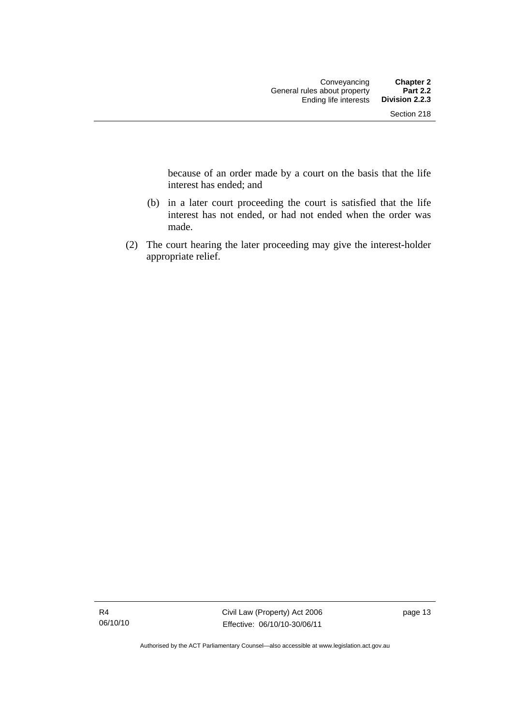because of an order made by a court on the basis that the life interest has ended; and

- (b) in a later court proceeding the court is satisfied that the life interest has not ended, or had not ended when the order was made.
- (2) The court hearing the later proceeding may give the interest-holder appropriate relief.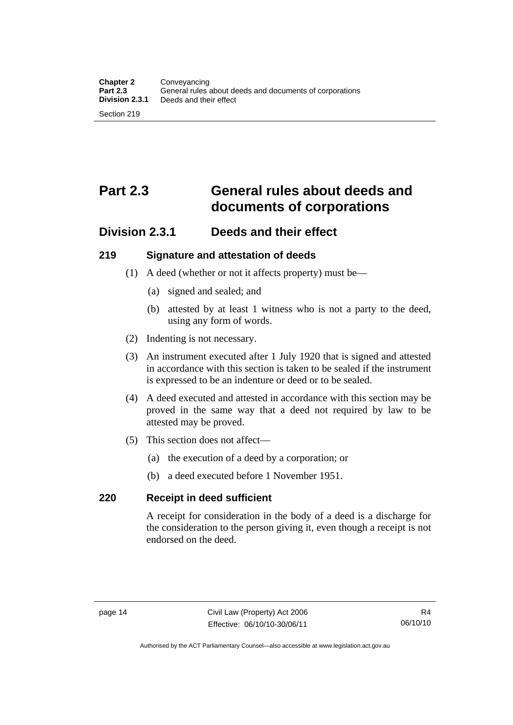# **Part 2.3 General rules about deeds and documents of corporations**

## **Division 2.3.1 Deeds and their effect**

#### **219 Signature and attestation of deeds**

- (1) A deed (whether or not it affects property) must be—
	- (a) signed and sealed; and
	- (b) attested by at least 1 witness who is not a party to the deed, using any form of words.
- (2) Indenting is not necessary.
- (3) An instrument executed after 1 July 1920 that is signed and attested in accordance with this section is taken to be sealed if the instrument is expressed to be an indenture or deed or to be sealed.
- (4) A deed executed and attested in accordance with this section may be proved in the same way that a deed not required by law to be attested may be proved.
- (5) This section does not affect—
	- (a) the execution of a deed by a corporation; or
	- (b) a deed executed before 1 November 1951.

#### **220 Receipt in deed sufficient**

A receipt for consideration in the body of a deed is a discharge for the consideration to the person giving it, even though a receipt is not endorsed on the deed.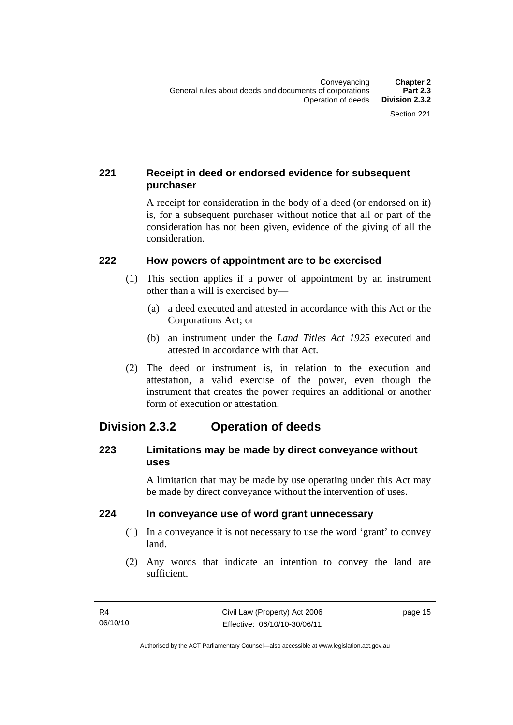### **221 Receipt in deed or endorsed evidence for subsequent purchaser**

A receipt for consideration in the body of a deed (or endorsed on it) is, for a subsequent purchaser without notice that all or part of the consideration has not been given, evidence of the giving of all the consideration.

#### **222 How powers of appointment are to be exercised**

- (1) This section applies if a power of appointment by an instrument other than a will is exercised by—
	- (a) a deed executed and attested in accordance with this Act or the Corporations Act; or
	- (b) an instrument under the *Land Titles Act 1925* executed and attested in accordance with that Act.
- (2) The deed or instrument is, in relation to the execution and attestation, a valid exercise of the power, even though the instrument that creates the power requires an additional or another form of execution or attestation.

## **Division 2.3.2 Operation of deeds**

#### **223 Limitations may be made by direct conveyance without uses**

A limitation that may be made by use operating under this Act may be made by direct conveyance without the intervention of uses.

#### **224 In conveyance use of word grant unnecessary**

- (1) In a conveyance it is not necessary to use the word 'grant' to convey land.
- (2) Any words that indicate an intention to convey the land are sufficient.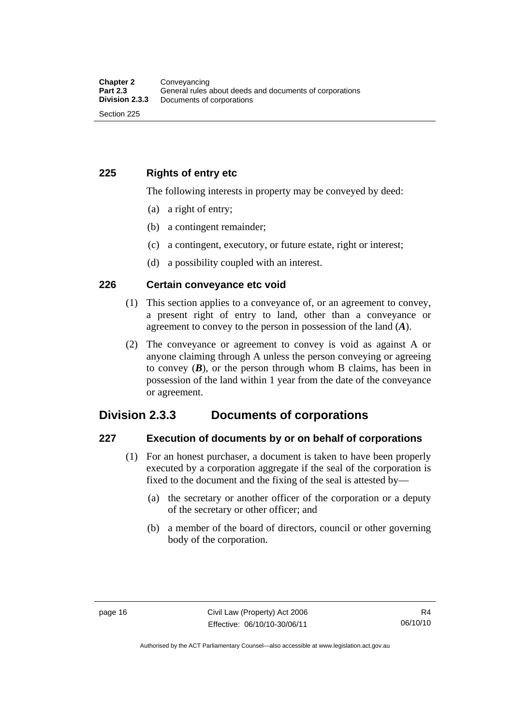#### **225 Rights of entry etc**

The following interests in property may be conveyed by deed:

- (a) a right of entry;
- (b) a contingent remainder;
- (c) a contingent, executory, or future estate, right or interest;
- (d) a possibility coupled with an interest.

#### **226 Certain conveyance etc void**

- (1) This section applies to a conveyance of, or an agreement to convey, a present right of entry to land, other than a conveyance or agreement to convey to the person in possession of the land (*A*).
- (2) The conveyance or agreement to convey is void as against A or anyone claiming through A unless the person conveying or agreeing to convey  $(B)$ , or the person through whom B claims, has been in possession of the land within 1 year from the date of the conveyance or agreement.

## **Division 2.3.3 Documents of corporations**

#### **227 Execution of documents by or on behalf of corporations**

- (1) For an honest purchaser, a document is taken to have been properly executed by a corporation aggregate if the seal of the corporation is fixed to the document and the fixing of the seal is attested by—
	- (a) the secretary or another officer of the corporation or a deputy of the secretary or other officer; and
	- (b) a member of the board of directors, council or other governing body of the corporation.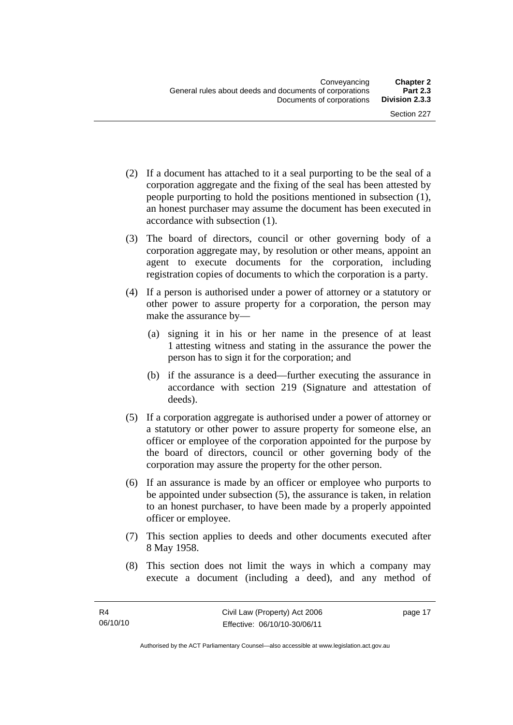- (2) If a document has attached to it a seal purporting to be the seal of a corporation aggregate and the fixing of the seal has been attested by people purporting to hold the positions mentioned in subsection (1), an honest purchaser may assume the document has been executed in accordance with subsection (1).
- (3) The board of directors, council or other governing body of a corporation aggregate may, by resolution or other means, appoint an agent to execute documents for the corporation, including registration copies of documents to which the corporation is a party.
- (4) If a person is authorised under a power of attorney or a statutory or other power to assure property for a corporation, the person may make the assurance by—
	- (a) signing it in his or her name in the presence of at least 1 attesting witness and stating in the assurance the power the person has to sign it for the corporation; and
	- (b) if the assurance is a deed—further executing the assurance in accordance with section 219 (Signature and attestation of deeds).
- (5) If a corporation aggregate is authorised under a power of attorney or a statutory or other power to assure property for someone else, an officer or employee of the corporation appointed for the purpose by the board of directors, council or other governing body of the corporation may assure the property for the other person.
- (6) If an assurance is made by an officer or employee who purports to be appointed under subsection (5), the assurance is taken, in relation to an honest purchaser, to have been made by a properly appointed officer or employee.
- (7) This section applies to deeds and other documents executed after 8 May 1958.
- (8) This section does not limit the ways in which a company may execute a document (including a deed), and any method of

page 17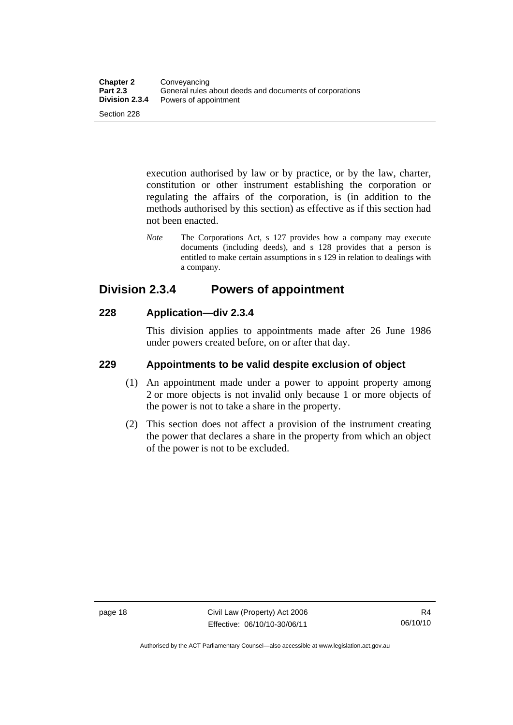execution authorised by law or by practice, or by the law, charter, constitution or other instrument establishing the corporation or regulating the affairs of the corporation, is (in addition to the methods authorised by this section) as effective as if this section had not been enacted.

*Note* The Corporations Act, s 127 provides how a company may execute documents (including deeds), and s 128 provides that a person is entitled to make certain assumptions in s 129 in relation to dealings with a company.

## **Division 2.3.4 Powers of appointment**

#### **228 Application—div 2.3.4**

This division applies to appointments made after 26 June 1986 under powers created before, on or after that day.

#### **229 Appointments to be valid despite exclusion of object**

- (1) An appointment made under a power to appoint property among 2 or more objects is not invalid only because 1 or more objects of the power is not to take a share in the property.
- (2) This section does not affect a provision of the instrument creating the power that declares a share in the property from which an object of the power is not to be excluded.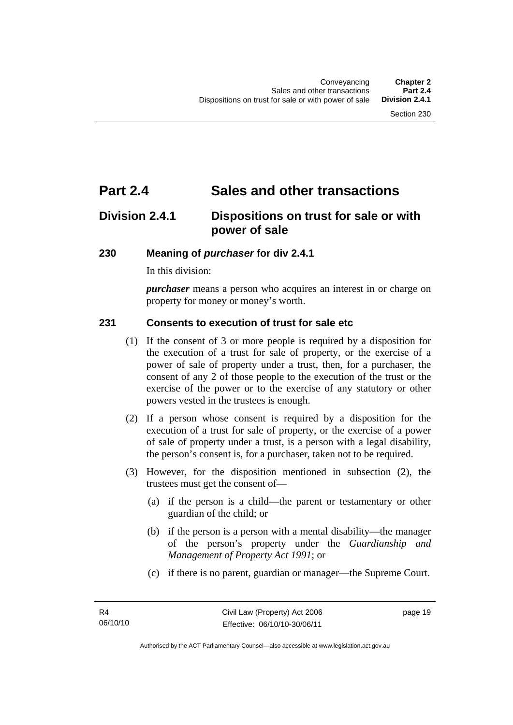# **Part 2.4 Sales and other transactions**

## **Division 2.4.1 Dispositions on trust for sale or with power of sale**

#### **230 Meaning of** *purchaser* **for div 2.4.1**

In this division:

*purchaser* means a person who acquires an interest in or charge on property for money or money's worth.

#### **231 Consents to execution of trust for sale etc**

- (1) If the consent of 3 or more people is required by a disposition for the execution of a trust for sale of property, or the exercise of a power of sale of property under a trust, then, for a purchaser, the consent of any 2 of those people to the execution of the trust or the exercise of the power or to the exercise of any statutory or other powers vested in the trustees is enough.
- (2) If a person whose consent is required by a disposition for the execution of a trust for sale of property, or the exercise of a power of sale of property under a trust, is a person with a legal disability, the person's consent is, for a purchaser, taken not to be required.
- (3) However, for the disposition mentioned in subsection (2), the trustees must get the consent of—
	- (a) if the person is a child—the parent or testamentary or other guardian of the child; or
	- (b) if the person is a person with a mental disability—the manager of the person's property under the *Guardianship and Management of Property Act 1991*; or
	- (c) if there is no parent, guardian or manager—the Supreme Court.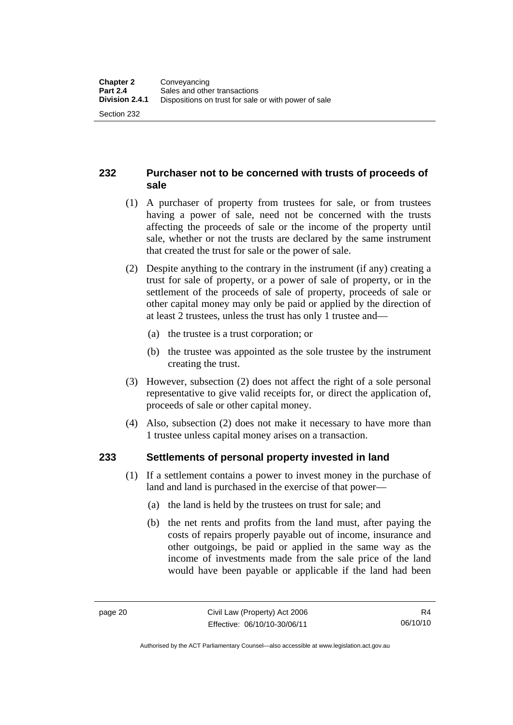#### **232 Purchaser not to be concerned with trusts of proceeds of sale**

- (1) A purchaser of property from trustees for sale, or from trustees having a power of sale, need not be concerned with the trusts affecting the proceeds of sale or the income of the property until sale, whether or not the trusts are declared by the same instrument that created the trust for sale or the power of sale.
- (2) Despite anything to the contrary in the instrument (if any) creating a trust for sale of property, or a power of sale of property, or in the settlement of the proceeds of sale of property, proceeds of sale or other capital money may only be paid or applied by the direction of at least 2 trustees, unless the trust has only 1 trustee and—
	- (a) the trustee is a trust corporation; or
	- (b) the trustee was appointed as the sole trustee by the instrument creating the trust.
- (3) However, subsection (2) does not affect the right of a sole personal representative to give valid receipts for, or direct the application of, proceeds of sale or other capital money.
- (4) Also, subsection (2) does not make it necessary to have more than 1 trustee unless capital money arises on a transaction.

#### **233 Settlements of personal property invested in land**

- (1) If a settlement contains a power to invest money in the purchase of land and land is purchased in the exercise of that power—
	- (a) the land is held by the trustees on trust for sale; and
	- (b) the net rents and profits from the land must, after paying the costs of repairs properly payable out of income, insurance and other outgoings, be paid or applied in the same way as the income of investments made from the sale price of the land would have been payable or applicable if the land had been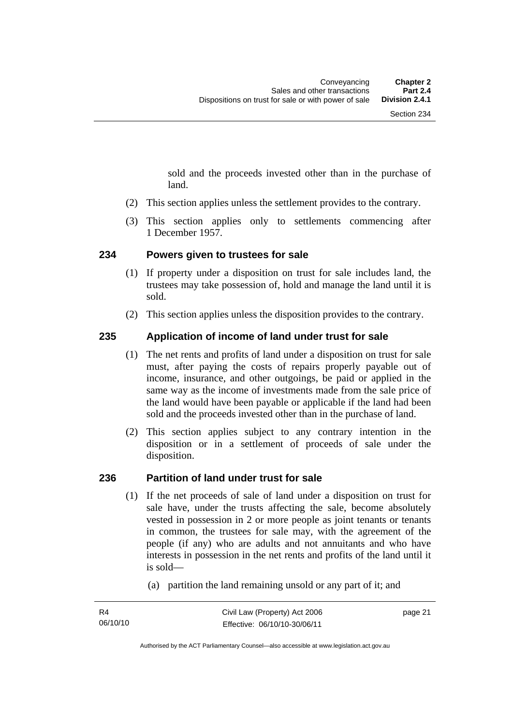sold and the proceeds invested other than in the purchase of land.

- (2) This section applies unless the settlement provides to the contrary.
- (3) This section applies only to settlements commencing after 1 December 1957.

#### **234 Powers given to trustees for sale**

- (1) If property under a disposition on trust for sale includes land, the trustees may take possession of, hold and manage the land until it is sold.
- (2) This section applies unless the disposition provides to the contrary.

#### **235 Application of income of land under trust for sale**

- (1) The net rents and profits of land under a disposition on trust for sale must, after paying the costs of repairs properly payable out of income, insurance, and other outgoings, be paid or applied in the same way as the income of investments made from the sale price of the land would have been payable or applicable if the land had been sold and the proceeds invested other than in the purchase of land.
- (2) This section applies subject to any contrary intention in the disposition or in a settlement of proceeds of sale under the disposition.

#### **236 Partition of land under trust for sale**

- (1) If the net proceeds of sale of land under a disposition on trust for sale have, under the trusts affecting the sale, become absolutely vested in possession in 2 or more people as joint tenants or tenants in common, the trustees for sale may, with the agreement of the people (if any) who are adults and not annuitants and who have interests in possession in the net rents and profits of the land until it is sold—
	- (a) partition the land remaining unsold or any part of it; and

page 21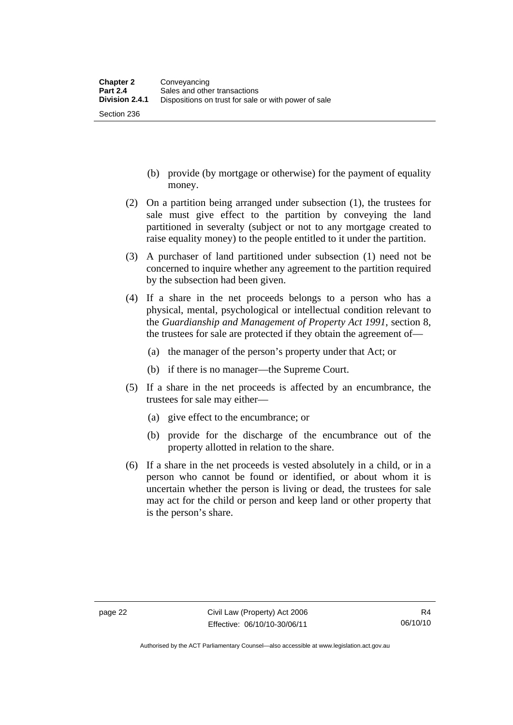Section 236

- (b) provide (by mortgage or otherwise) for the payment of equality money.
- (2) On a partition being arranged under subsection (1), the trustees for sale must give effect to the partition by conveying the land partitioned in severalty (subject or not to any mortgage created to raise equality money) to the people entitled to it under the partition.
- (3) A purchaser of land partitioned under subsection (1) need not be concerned to inquire whether any agreement to the partition required by the subsection had been given.
- (4) If a share in the net proceeds belongs to a person who has a physical, mental, psychological or intellectual condition relevant to the *Guardianship and Management of Property Act 1991*, section 8, the trustees for sale are protected if they obtain the agreement of—
	- (a) the manager of the person's property under that Act; or
	- (b) if there is no manager—the Supreme Court.
- (5) If a share in the net proceeds is affected by an encumbrance, the trustees for sale may either—
	- (a) give effect to the encumbrance; or
	- (b) provide for the discharge of the encumbrance out of the property allotted in relation to the share.
- (6) If a share in the net proceeds is vested absolutely in a child, or in a person who cannot be found or identified, or about whom it is uncertain whether the person is living or dead, the trustees for sale may act for the child or person and keep land or other property that is the person's share.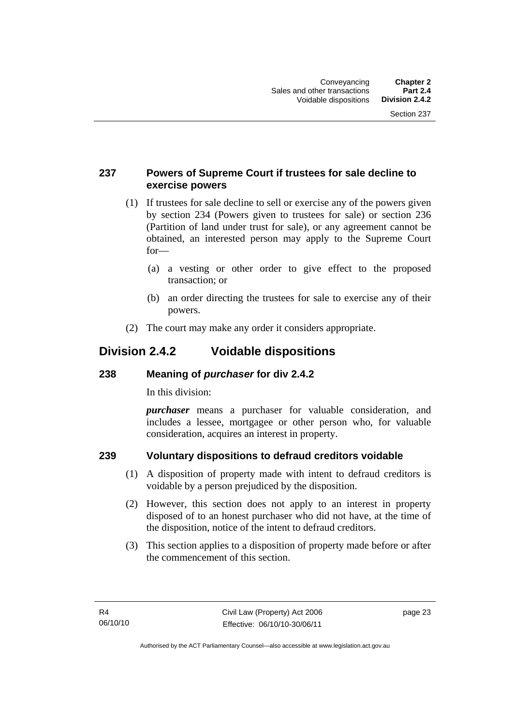#### **237 Powers of Supreme Court if trustees for sale decline to exercise powers**

- (1) If trustees for sale decline to sell or exercise any of the powers given by section 234 (Powers given to trustees for sale) or section 236 (Partition of land under trust for sale), or any agreement cannot be obtained, an interested person may apply to the Supreme Court for—
	- (a) a vesting or other order to give effect to the proposed transaction; or
	- (b) an order directing the trustees for sale to exercise any of their powers.
- (2) The court may make any order it considers appropriate.

## **Division 2.4.2 Voidable dispositions**

#### **238 Meaning of** *purchaser* **for div 2.4.2**

In this division:

*purchaser* means a purchaser for valuable consideration, and includes a lessee, mortgagee or other person who, for valuable consideration, acquires an interest in property.

### **239 Voluntary dispositions to defraud creditors voidable**

- (1) A disposition of property made with intent to defraud creditors is voidable by a person prejudiced by the disposition.
- (2) However, this section does not apply to an interest in property disposed of to an honest purchaser who did not have, at the time of the disposition, notice of the intent to defraud creditors.
- (3) This section applies to a disposition of property made before or after the commencement of this section.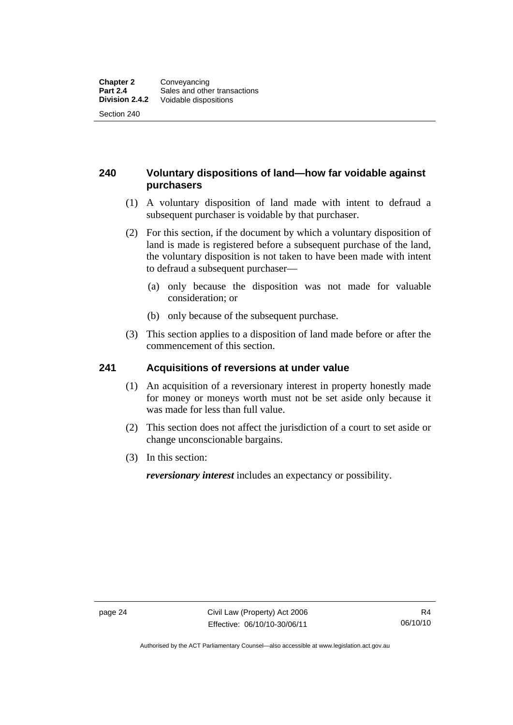#### **240 Voluntary dispositions of land—how far voidable against purchasers**

- (1) A voluntary disposition of land made with intent to defraud a subsequent purchaser is voidable by that purchaser.
- (2) For this section, if the document by which a voluntary disposition of land is made is registered before a subsequent purchase of the land, the voluntary disposition is not taken to have been made with intent to defraud a subsequent purchaser—
	- (a) only because the disposition was not made for valuable consideration; or
	- (b) only because of the subsequent purchase.
- (3) This section applies to a disposition of land made before or after the commencement of this section.

#### **241 Acquisitions of reversions at under value**

- (1) An acquisition of a reversionary interest in property honestly made for money or moneys worth must not be set aside only because it was made for less than full value.
- (2) This section does not affect the jurisdiction of a court to set aside or change unconscionable bargains.
- (3) In this section:

*reversionary interest* includes an expectancy or possibility.

R4 06/10/10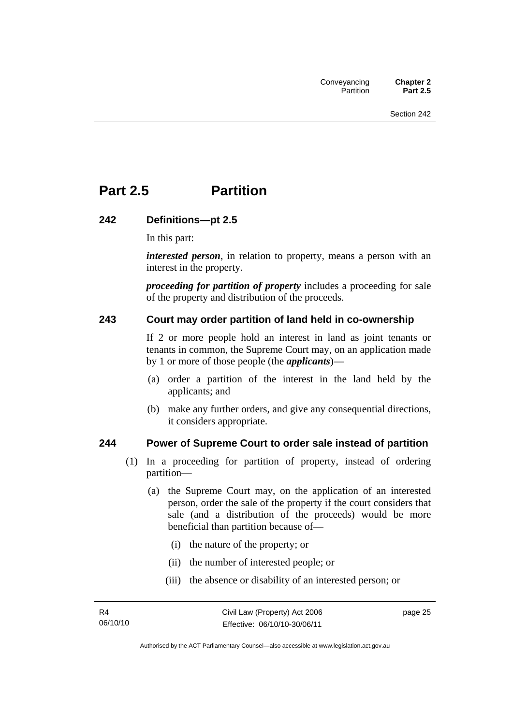# **Part 2.5 Partition**

#### **242 Definitions—pt 2.5**

In this part:

*interested person*, in relation to property, means a person with an interest in the property.

*proceeding for partition of property* includes a proceeding for sale of the property and distribution of the proceeds.

#### **243 Court may order partition of land held in co-ownership**

If 2 or more people hold an interest in land as joint tenants or tenants in common, the Supreme Court may, on an application made by 1 or more of those people (the *applicants*)—

- (a) order a partition of the interest in the land held by the applicants; and
- (b) make any further orders, and give any consequential directions, it considers appropriate.

#### **244 Power of Supreme Court to order sale instead of partition**

- (1) In a proceeding for partition of property, instead of ordering partition—
	- (a) the Supreme Court may, on the application of an interested person, order the sale of the property if the court considers that sale (and a distribution of the proceeds) would be more beneficial than partition because of—
		- (i) the nature of the property; or
		- (ii) the number of interested people; or
		- (iii) the absence or disability of an interested person; or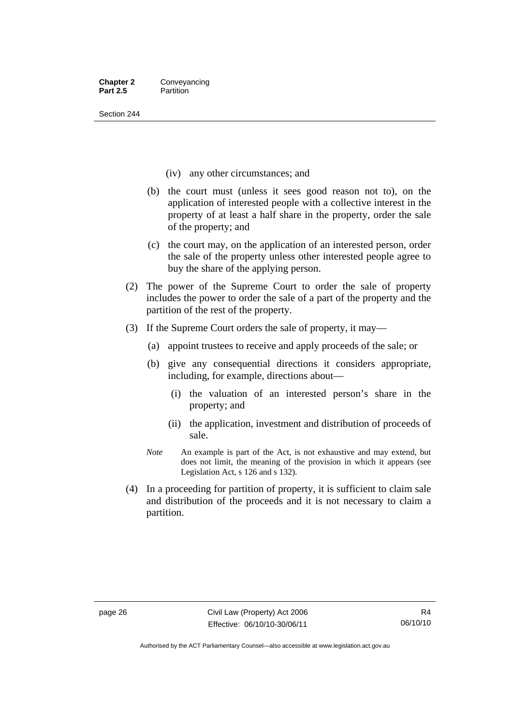Section 244

- (iv) any other circumstances; and
- (b) the court must (unless it sees good reason not to), on the application of interested people with a collective interest in the property of at least a half share in the property, order the sale of the property; and
- (c) the court may, on the application of an interested person, order the sale of the property unless other interested people agree to buy the share of the applying person.
- (2) The power of the Supreme Court to order the sale of property includes the power to order the sale of a part of the property and the partition of the rest of the property.
- (3) If the Supreme Court orders the sale of property, it may—
	- (a) appoint trustees to receive and apply proceeds of the sale; or
	- (b) give any consequential directions it considers appropriate, including, for example, directions about—
		- (i) the valuation of an interested person's share in the property; and
		- (ii) the application, investment and distribution of proceeds of sale.
	- *Note* An example is part of the Act, is not exhaustive and may extend, but does not limit, the meaning of the provision in which it appears (see Legislation Act, s 126 and s 132).
- (4) In a proceeding for partition of property, it is sufficient to claim sale and distribution of the proceeds and it is not necessary to claim a partition.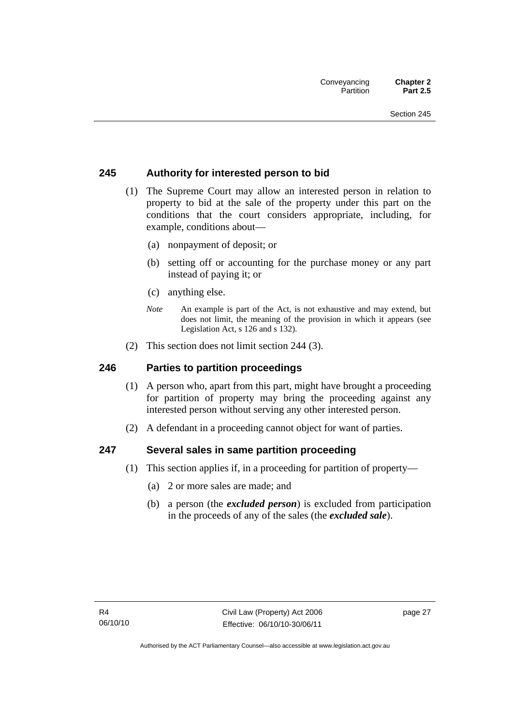### **245 Authority for interested person to bid**

- (1) The Supreme Court may allow an interested person in relation to property to bid at the sale of the property under this part on the conditions that the court considers appropriate, including, for example, conditions about—
	- (a) nonpayment of deposit; or
	- (b) setting off or accounting for the purchase money or any part instead of paying it; or
	- (c) anything else.
	- *Note* An example is part of the Act, is not exhaustive and may extend, but does not limit, the meaning of the provision in which it appears (see Legislation Act, s 126 and s 132).
- (2) This section does not limit section 244 (3).

### **246 Parties to partition proceedings**

- (1) A person who, apart from this part, might have brought a proceeding for partition of property may bring the proceeding against any interested person without serving any other interested person.
- (2) A defendant in a proceeding cannot object for want of parties.

### **247 Several sales in same partition proceeding**

- (1) This section applies if, in a proceeding for partition of property—
	- (a) 2 or more sales are made; and
	- (b) a person (the *excluded person*) is excluded from participation in the proceeds of any of the sales (the *excluded sale*).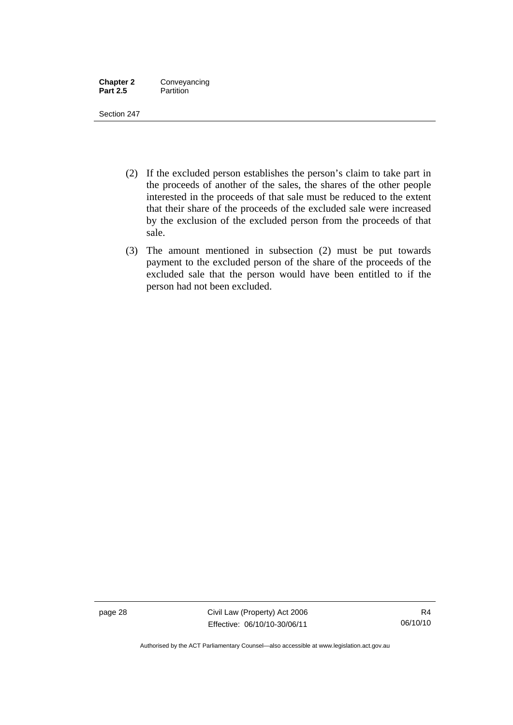| <b>Chapter 2</b> | Conveyancing |
|------------------|--------------|
| <b>Part 2.5</b>  | Partition    |

Section 247

- (2) If the excluded person establishes the person's claim to take part in the proceeds of another of the sales, the shares of the other people interested in the proceeds of that sale must be reduced to the extent that their share of the proceeds of the excluded sale were increased by the exclusion of the excluded person from the proceeds of that sale.
- (3) The amount mentioned in subsection (2) must be put towards payment to the excluded person of the share of the proceeds of the excluded sale that the person would have been entitled to if the person had not been excluded.

page 28 Civil Law (Property) Act 2006 Effective: 06/10/10-30/06/11

Authorised by the ACT Parliamentary Counsel—also accessible at www.legislation.act.gov.au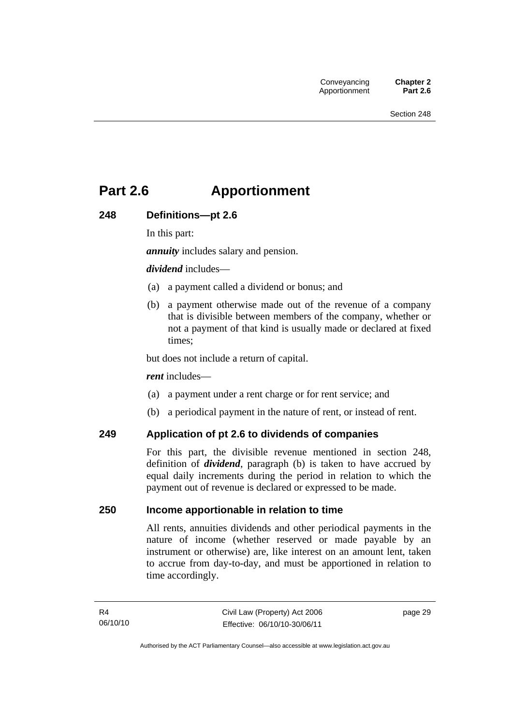## **Part 2.6 Apportionment**

### **248 Definitions—pt 2.6**

In this part:

*annuity* includes salary and pension.

#### *dividend* includes—

- (a) a payment called a dividend or bonus; and
- (b) a payment otherwise made out of the revenue of a company that is divisible between members of the company, whether or not a payment of that kind is usually made or declared at fixed times;

but does not include a return of capital.

#### *rent* includes—

- (a) a payment under a rent charge or for rent service; and
- (b) a periodical payment in the nature of rent, or instead of rent.

### **249 Application of pt 2.6 to dividends of companies**

For this part, the divisible revenue mentioned in section 248, definition of *dividend*, paragraph (b) is taken to have accrued by equal daily increments during the period in relation to which the payment out of revenue is declared or expressed to be made.

### **250 Income apportionable in relation to time**

All rents, annuities dividends and other periodical payments in the nature of income (whether reserved or made payable by an instrument or otherwise) are, like interest on an amount lent, taken to accrue from day-to-day, and must be apportioned in relation to time accordingly.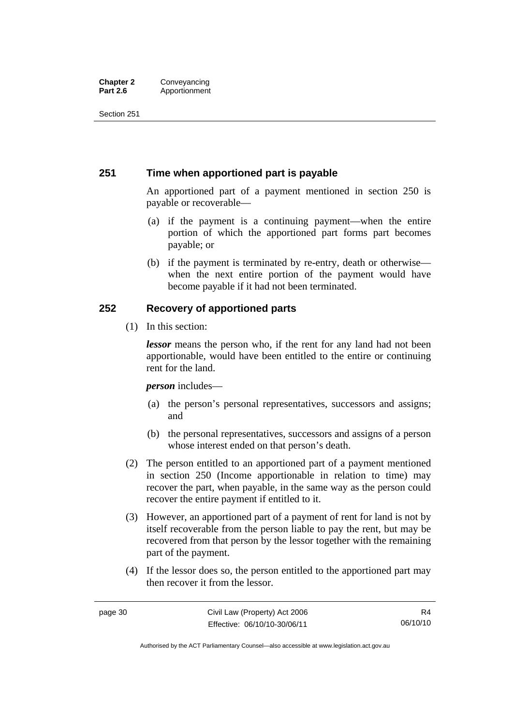#### **Chapter 2 Conveyancing**<br>**Part 2.6 Apportionment Part 2.6** Apportionment

Section 251

### **251 Time when apportioned part is payable**

An apportioned part of a payment mentioned in section 250 is payable or recoverable—

- (a) if the payment is a continuing payment—when the entire portion of which the apportioned part forms part becomes payable; or
- (b) if the payment is terminated by re-entry, death or otherwise when the next entire portion of the payment would have become payable if it had not been terminated.

### **252 Recovery of apportioned parts**

(1) In this section:

*lessor* means the person who, if the rent for any land had not been apportionable, would have been entitled to the entire or continuing rent for the land.

*person* includes—

- (a) the person's personal representatives, successors and assigns; and
- (b) the personal representatives, successors and assigns of a person whose interest ended on that person's death.
- (2) The person entitled to an apportioned part of a payment mentioned in section 250 (Income apportionable in relation to time) may recover the part, when payable, in the same way as the person could recover the entire payment if entitled to it.
- (3) However, an apportioned part of a payment of rent for land is not by itself recoverable from the person liable to pay the rent, but may be recovered from that person by the lessor together with the remaining part of the payment.
- (4) If the lessor does so, the person entitled to the apportioned part may then recover it from the lessor.

Authorised by the ACT Parliamentary Counsel—also accessible at www.legislation.act.gov.au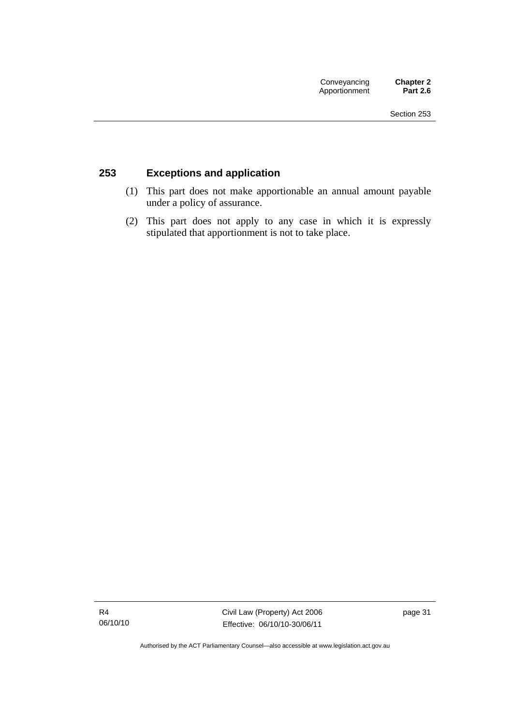### **253 Exceptions and application**

- (1) This part does not make apportionable an annual amount payable under a policy of assurance.
- (2) This part does not apply to any case in which it is expressly stipulated that apportionment is not to take place.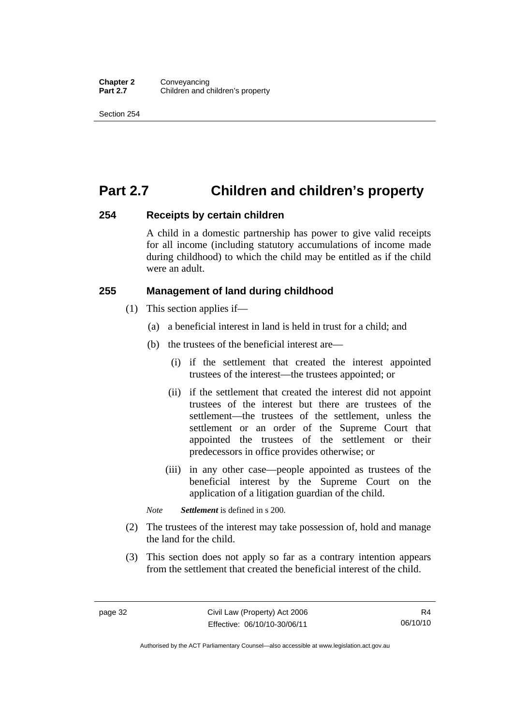## **Part 2.7 Children and children's property**

### **254 Receipts by certain children**

A child in a domestic partnership has power to give valid receipts for all income (including statutory accumulations of income made during childhood) to which the child may be entitled as if the child were an adult.

### **255 Management of land during childhood**

- (1) This section applies if—
	- (a) a beneficial interest in land is held in trust for a child; and
	- (b) the trustees of the beneficial interest are—
		- (i) if the settlement that created the interest appointed trustees of the interest—the trustees appointed; or
		- (ii) if the settlement that created the interest did not appoint trustees of the interest but there are trustees of the settlement—the trustees of the settlement, unless the settlement or an order of the Supreme Court that appointed the trustees of the settlement or their predecessors in office provides otherwise; or
		- (iii) in any other case—people appointed as trustees of the beneficial interest by the Supreme Court on the application of a litigation guardian of the child.

*Note Settlement* is defined in s 200.

- (2) The trustees of the interest may take possession of, hold and manage the land for the child.
- (3) This section does not apply so far as a contrary intention appears from the settlement that created the beneficial interest of the child.

R4 06/10/10

Authorised by the ACT Parliamentary Counsel—also accessible at www.legislation.act.gov.au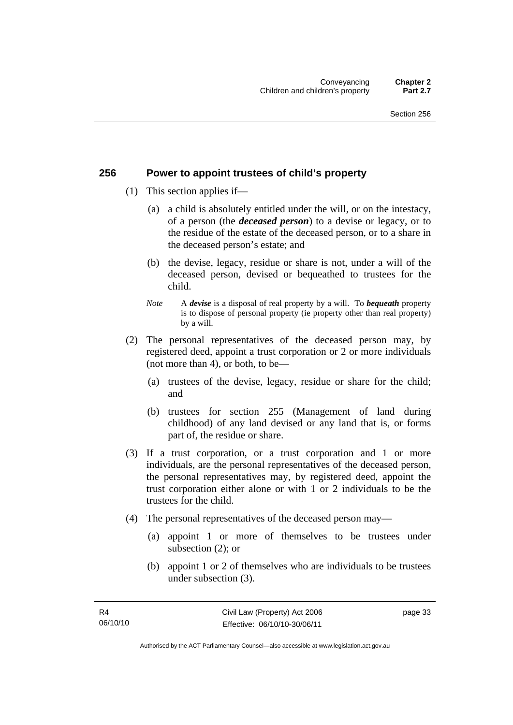### **256 Power to appoint trustees of child's property**

- (1) This section applies if—
	- (a) a child is absolutely entitled under the will, or on the intestacy, of a person (the *deceased person*) to a devise or legacy, or to the residue of the estate of the deceased person, or to a share in the deceased person's estate; and
	- (b) the devise, legacy, residue or share is not, under a will of the deceased person, devised or bequeathed to trustees for the child.
	- *Note* A *devise* is a disposal of real property by a will. To *bequeath* property is to dispose of personal property (ie property other than real property) by a will.
- (2) The personal representatives of the deceased person may, by registered deed, appoint a trust corporation or 2 or more individuals (not more than 4), or both, to be—
	- (a) trustees of the devise, legacy, residue or share for the child; and
	- (b) trustees for section 255 (Management of land during childhood) of any land devised or any land that is, or forms part of, the residue or share.
- (3) If a trust corporation, or a trust corporation and 1 or more individuals, are the personal representatives of the deceased person, the personal representatives may, by registered deed, appoint the trust corporation either alone or with 1 or 2 individuals to be the trustees for the child.
- (4) The personal representatives of the deceased person may—
	- (a) appoint 1 or more of themselves to be trustees under subsection (2); or
	- (b) appoint 1 or 2 of themselves who are individuals to be trustees under subsection (3).

page 33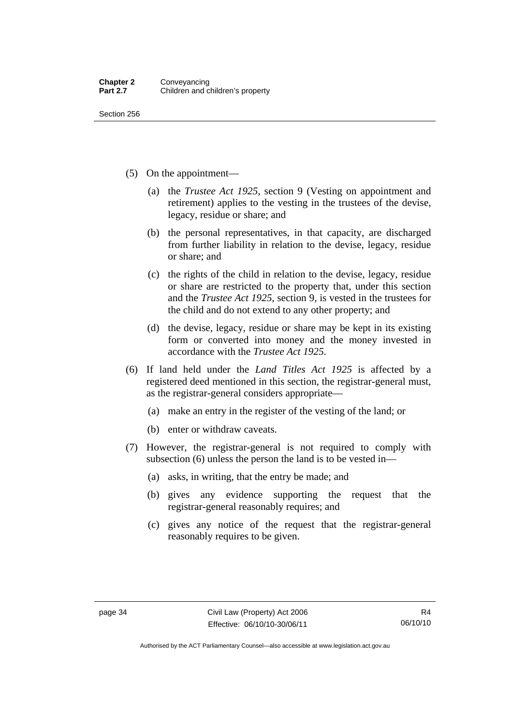Section 256

- (5) On the appointment—
	- (a) the *Trustee Act 1925*, section 9 (Vesting on appointment and retirement) applies to the vesting in the trustees of the devise, legacy, residue or share; and
	- (b) the personal representatives, in that capacity, are discharged from further liability in relation to the devise, legacy, residue or share; and
	- (c) the rights of the child in relation to the devise, legacy, residue or share are restricted to the property that, under this section and the *Trustee Act 1925*, section 9, is vested in the trustees for the child and do not extend to any other property; and
	- (d) the devise, legacy, residue or share may be kept in its existing form or converted into money and the money invested in accordance with the *Trustee Act 1925*.
- (6) If land held under the *Land Titles Act 1925* is affected by a registered deed mentioned in this section, the registrar-general must, as the registrar-general considers appropriate—
	- (a) make an entry in the register of the vesting of the land; or
	- (b) enter or withdraw caveats.
- (7) However, the registrar-general is not required to comply with subsection (6) unless the person the land is to be vested in—
	- (a) asks, in writing, that the entry be made; and
	- (b) gives any evidence supporting the request that the registrar-general reasonably requires; and
	- (c) gives any notice of the request that the registrar-general reasonably requires to be given.

Authorised by the ACT Parliamentary Counsel—also accessible at www.legislation.act.gov.au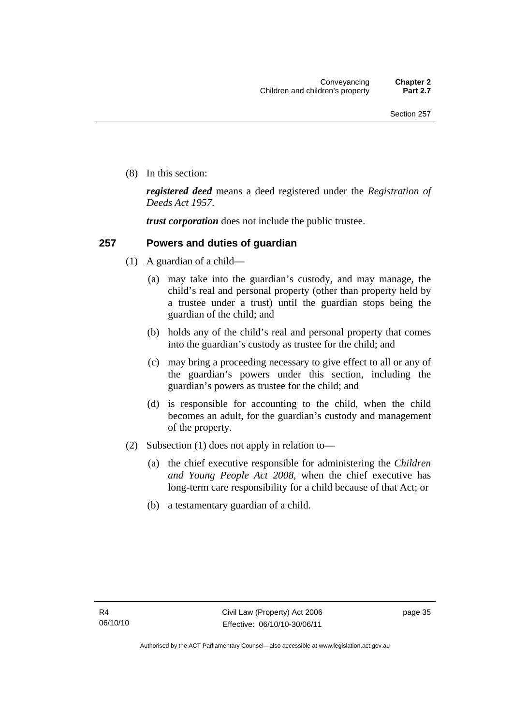(8) In this section:

*registered deed* means a deed registered under the *Registration of Deeds Act 1957*.

*trust corporation* does not include the public trustee.

### **257 Powers and duties of guardian**

- (1) A guardian of a child—
	- (a) may take into the guardian's custody, and may manage, the child's real and personal property (other than property held by a trustee under a trust) until the guardian stops being the guardian of the child; and
	- (b) holds any of the child's real and personal property that comes into the guardian's custody as trustee for the child; and
	- (c) may bring a proceeding necessary to give effect to all or any of the guardian's powers under this section, including the guardian's powers as trustee for the child; and
	- (d) is responsible for accounting to the child, when the child becomes an adult, for the guardian's custody and management of the property.
- (2) Subsection (1) does not apply in relation to—
	- (a) the chief executive responsible for administering the *Children and Young People Act 2008*, when the chief executive has long-term care responsibility for a child because of that Act; or
	- (b) a testamentary guardian of a child.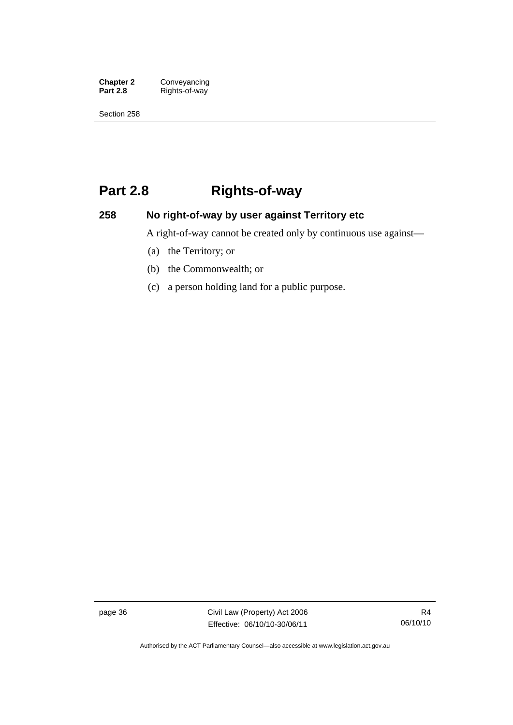**Chapter 2** Conveyancing<br>**Part 2.8** Rights-of-way **Part 2.8** Rights-of-way

Section 258

## **Part 2.8 Rights-of-way**

### **258 No right-of-way by user against Territory etc**

A right-of-way cannot be created only by continuous use against—

- (a) the Territory; or
- (b) the Commonwealth; or
- (c) a person holding land for a public purpose.

page 36 Civil Law (Property) Act 2006 Effective: 06/10/10-30/06/11

Authorised by the ACT Parliamentary Counsel—also accessible at www.legislation.act.gov.au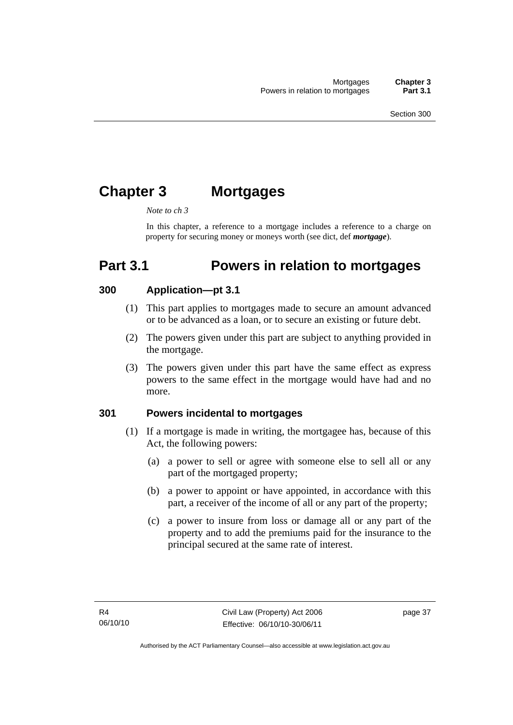# **Chapter 3 Mortgages**

#### *Note to ch 3*

In this chapter, a reference to a mortgage includes a reference to a charge on property for securing money or moneys worth (see dict, def *mortgage*).

# **Part 3.1 Powers in relation to mortgages**

### **300 Application—pt 3.1**

- (1) This part applies to mortgages made to secure an amount advanced or to be advanced as a loan, or to secure an existing or future debt.
- (2) The powers given under this part are subject to anything provided in the mortgage.
- (3) The powers given under this part have the same effect as express powers to the same effect in the mortgage would have had and no more.

### **301 Powers incidental to mortgages**

- (1) If a mortgage is made in writing, the mortgagee has, because of this Act, the following powers:
	- (a) a power to sell or agree with someone else to sell all or any part of the mortgaged property;
	- (b) a power to appoint or have appointed, in accordance with this part, a receiver of the income of all or any part of the property;
	- (c) a power to insure from loss or damage all or any part of the property and to add the premiums paid for the insurance to the principal secured at the same rate of interest.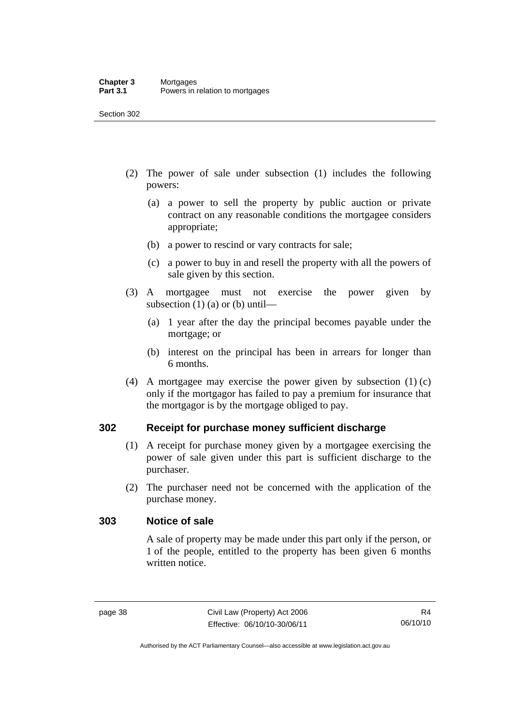- (2) The power of sale under subsection (1) includes the following powers:
	- (a) a power to sell the property by public auction or private contract on any reasonable conditions the mortgagee considers appropriate;
	- (b) a power to rescind or vary contracts for sale;
	- (c) a power to buy in and resell the property with all the powers of sale given by this section.
- (3) A mortgagee must not exercise the power given by subsection  $(1)$  (a) or (b) until—
	- (a) 1 year after the day the principal becomes payable under the mortgage; or
	- (b) interest on the principal has been in arrears for longer than 6 months.
- (4) A mortgagee may exercise the power given by subsection (1) (c) only if the mortgagor has failed to pay a premium for insurance that the mortgagor is by the mortgage obliged to pay.

### **302 Receipt for purchase money sufficient discharge**

- (1) A receipt for purchase money given by a mortgagee exercising the power of sale given under this part is sufficient discharge to the purchaser.
- (2) The purchaser need not be concerned with the application of the purchase money.

### **303 Notice of sale**

A sale of property may be made under this part only if the person, or 1 of the people, entitled to the property has been given 6 months written notice.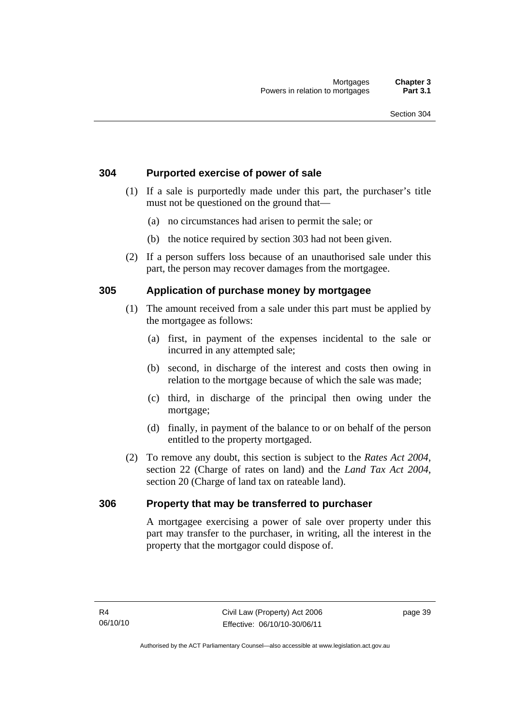### **304 Purported exercise of power of sale**

- (1) If a sale is purportedly made under this part, the purchaser's title must not be questioned on the ground that—
	- (a) no circumstances had arisen to permit the sale; or
	- (b) the notice required by section 303 had not been given.
- (2) If a person suffers loss because of an unauthorised sale under this part, the person may recover damages from the mortgagee.

### **305 Application of purchase money by mortgagee**

- (1) The amount received from a sale under this part must be applied by the mortgagee as follows:
	- (a) first, in payment of the expenses incidental to the sale or incurred in any attempted sale;
	- (b) second, in discharge of the interest and costs then owing in relation to the mortgage because of which the sale was made;
	- (c) third, in discharge of the principal then owing under the mortgage;
	- (d) finally, in payment of the balance to or on behalf of the person entitled to the property mortgaged.
- (2) To remove any doubt, this section is subject to the *Rates Act 2004*, section 22 (Charge of rates on land) and the *Land Tax Act 2004*, section 20 (Charge of land tax on rateable land).

### **306 Property that may be transferred to purchaser**

A mortgagee exercising a power of sale over property under this part may transfer to the purchaser, in writing, all the interest in the property that the mortgagor could dispose of.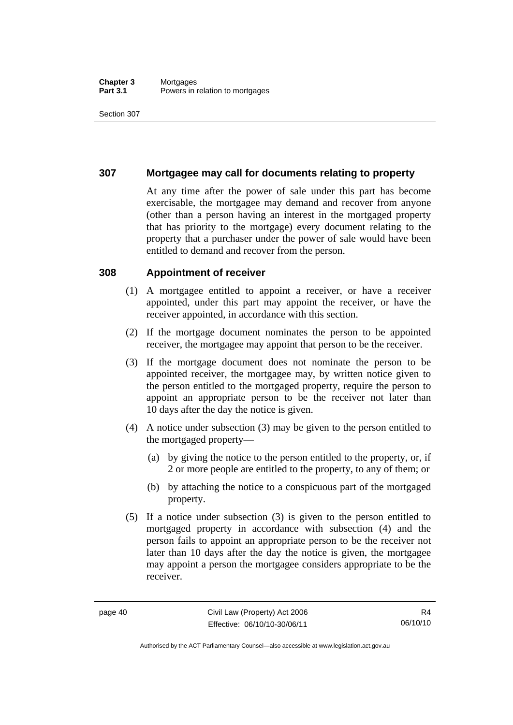#### **Chapter 3** Mortgages<br>**Part 3.1** Powers in i Powers in relation to mortgages

Section 307

### **307 Mortgagee may call for documents relating to property**

At any time after the power of sale under this part has become exercisable, the mortgagee may demand and recover from anyone (other than a person having an interest in the mortgaged property that has priority to the mortgage) every document relating to the property that a purchaser under the power of sale would have been entitled to demand and recover from the person.

### **308 Appointment of receiver**

- (1) A mortgagee entitled to appoint a receiver, or have a receiver appointed, under this part may appoint the receiver, or have the receiver appointed, in accordance with this section.
- (2) If the mortgage document nominates the person to be appointed receiver, the mortgagee may appoint that person to be the receiver.
- (3) If the mortgage document does not nominate the person to be appointed receiver, the mortgagee may, by written notice given to the person entitled to the mortgaged property, require the person to appoint an appropriate person to be the receiver not later than 10 days after the day the notice is given.
- (4) A notice under subsection (3) may be given to the person entitled to the mortgaged property—
	- (a) by giving the notice to the person entitled to the property, or, if 2 or more people are entitled to the property, to any of them; or
	- (b) by attaching the notice to a conspicuous part of the mortgaged property.
- (5) If a notice under subsection (3) is given to the person entitled to mortgaged property in accordance with subsection (4) and the person fails to appoint an appropriate person to be the receiver not later than 10 days after the day the notice is given, the mortgagee may appoint a person the mortgagee considers appropriate to be the receiver.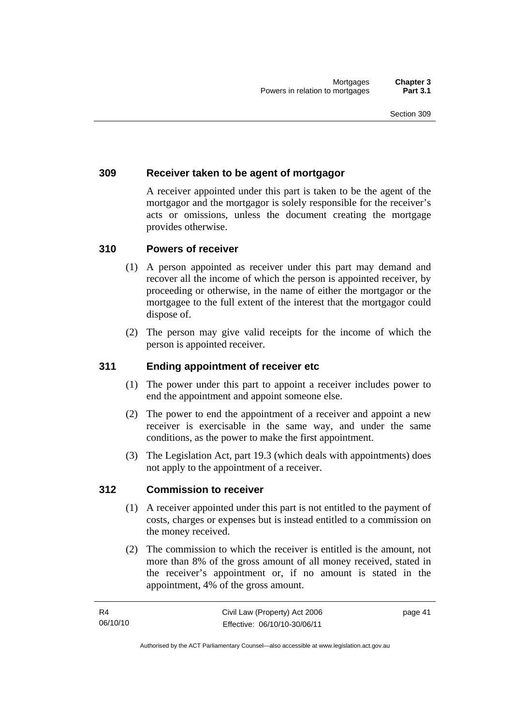### **309 Receiver taken to be agent of mortgagor**

A receiver appointed under this part is taken to be the agent of the mortgagor and the mortgagor is solely responsible for the receiver's acts or omissions, unless the document creating the mortgage provides otherwise.

### **310 Powers of receiver**

- (1) A person appointed as receiver under this part may demand and recover all the income of which the person is appointed receiver, by proceeding or otherwise, in the name of either the mortgagor or the mortgagee to the full extent of the interest that the mortgagor could dispose of.
- (2) The person may give valid receipts for the income of which the person is appointed receiver.

### **311 Ending appointment of receiver etc**

- (1) The power under this part to appoint a receiver includes power to end the appointment and appoint someone else.
- (2) The power to end the appointment of a receiver and appoint a new receiver is exercisable in the same way, and under the same conditions, as the power to make the first appointment.
- (3) The Legislation Act, part 19.3 (which deals with appointments) does not apply to the appointment of a receiver.

### **312 Commission to receiver**

- (1) A receiver appointed under this part is not entitled to the payment of costs, charges or expenses but is instead entitled to a commission on the money received.
- (2) The commission to which the receiver is entitled is the amount, not more than 8% of the gross amount of all money received, stated in the receiver's appointment or, if no amount is stated in the appointment, 4% of the gross amount.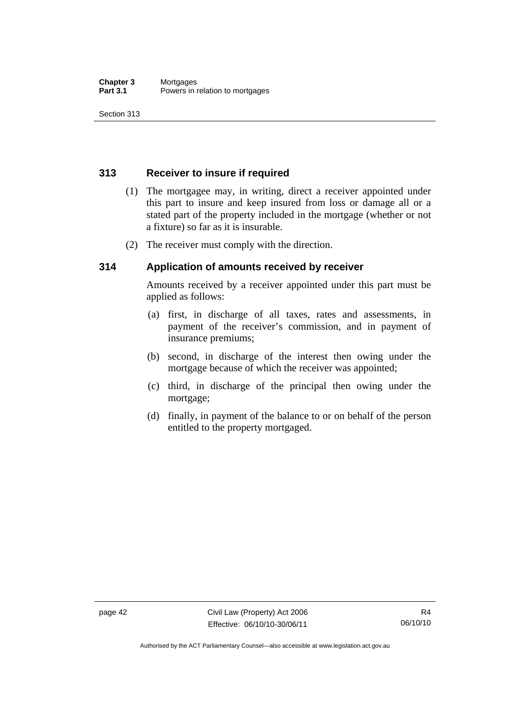Section 313

### **313 Receiver to insure if required**

- (1) The mortgagee may, in writing, direct a receiver appointed under this part to insure and keep insured from loss or damage all or a stated part of the property included in the mortgage (whether or not a fixture) so far as it is insurable.
- (2) The receiver must comply with the direction.

### **314 Application of amounts received by receiver**

Amounts received by a receiver appointed under this part must be applied as follows:

- (a) first, in discharge of all taxes, rates and assessments, in payment of the receiver's commission, and in payment of insurance premiums;
- (b) second, in discharge of the interest then owing under the mortgage because of which the receiver was appointed;
- (c) third, in discharge of the principal then owing under the mortgage;
- (d) finally, in payment of the balance to or on behalf of the person entitled to the property mortgaged.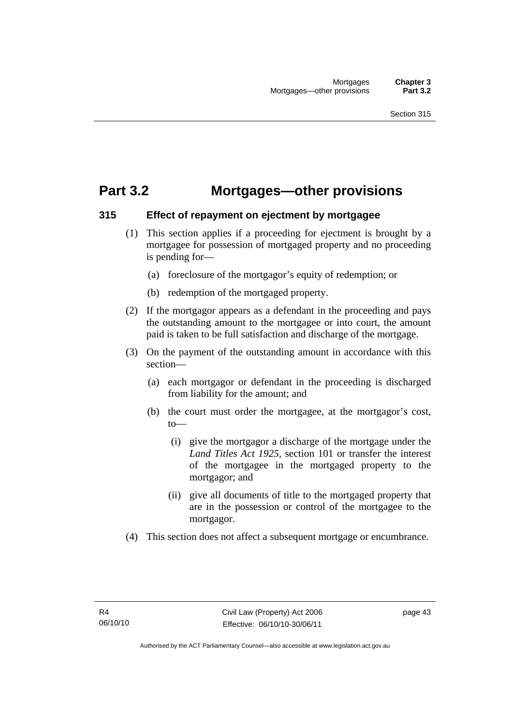### **Part 3.2 Mortgages—other provisions**

### **315 Effect of repayment on ejectment by mortgagee**

- (1) This section applies if a proceeding for ejectment is brought by a mortgagee for possession of mortgaged property and no proceeding is pending for—
	- (a) foreclosure of the mortgagor's equity of redemption; or
	- (b) redemption of the mortgaged property.
- (2) If the mortgagor appears as a defendant in the proceeding and pays the outstanding amount to the mortgagee or into court, the amount paid is taken to be full satisfaction and discharge of the mortgage.
- (3) On the payment of the outstanding amount in accordance with this section—
	- (a) each mortgagor or defendant in the proceeding is discharged from liability for the amount; and
	- (b) the court must order the mortgagee, at the mortgagor's cost,  $t_0$ 
		- (i) give the mortgagor a discharge of the mortgage under the *Land Titles Act 1925*, section 101 or transfer the interest of the mortgagee in the mortgaged property to the mortgagor; and
		- (ii) give all documents of title to the mortgaged property that are in the possession or control of the mortgagee to the mortgagor.
- (4) This section does not affect a subsequent mortgage or encumbrance.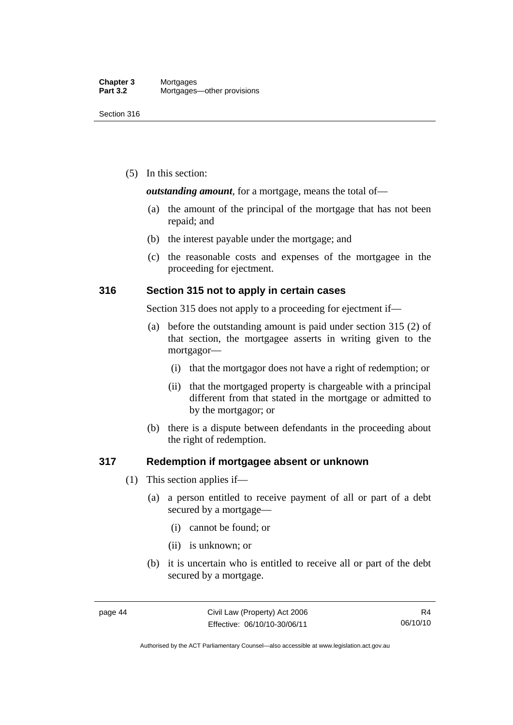(5) In this section:

*outstanding amount*, for a mortgage, means the total of—

- (a) the amount of the principal of the mortgage that has not been repaid; and
- (b) the interest payable under the mortgage; and
- (c) the reasonable costs and expenses of the mortgagee in the proceeding for ejectment.

### **316 Section 315 not to apply in certain cases**

Section 315 does not apply to a proceeding for ejectment if—

- (a) before the outstanding amount is paid under section 315 (2) of that section, the mortgagee asserts in writing given to the mortgagor—
	- (i) that the mortgagor does not have a right of redemption; or
	- (ii) that the mortgaged property is chargeable with a principal different from that stated in the mortgage or admitted to by the mortgagor; or
- (b) there is a dispute between defendants in the proceeding about the right of redemption.

### **317 Redemption if mortgagee absent or unknown**

- (1) This section applies if—
	- (a) a person entitled to receive payment of all or part of a debt secured by a mortgage—
		- (i) cannot be found; or
		- (ii) is unknown; or
	- (b) it is uncertain who is entitled to receive all or part of the debt secured by a mortgage.

Authorised by the ACT Parliamentary Counsel—also accessible at www.legislation.act.gov.au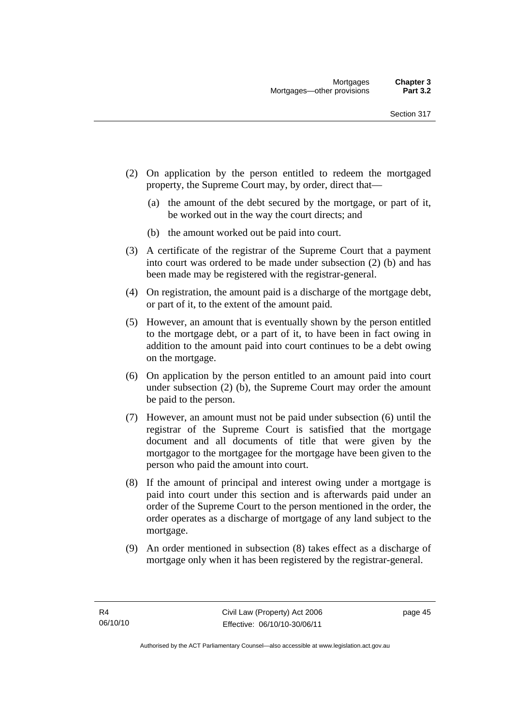- (2) On application by the person entitled to redeem the mortgaged property, the Supreme Court may, by order, direct that—
	- (a) the amount of the debt secured by the mortgage, or part of it, be worked out in the way the court directs; and
	- (b) the amount worked out be paid into court.
- (3) A certificate of the registrar of the Supreme Court that a payment into court was ordered to be made under subsection (2) (b) and has been made may be registered with the registrar-general.
- (4) On registration, the amount paid is a discharge of the mortgage debt, or part of it, to the extent of the amount paid.
- (5) However, an amount that is eventually shown by the person entitled to the mortgage debt, or a part of it, to have been in fact owing in addition to the amount paid into court continues to be a debt owing on the mortgage.
- (6) On application by the person entitled to an amount paid into court under subsection (2) (b), the Supreme Court may order the amount be paid to the person.
- (7) However, an amount must not be paid under subsection (6) until the registrar of the Supreme Court is satisfied that the mortgage document and all documents of title that were given by the mortgagor to the mortgagee for the mortgage have been given to the person who paid the amount into court.
- (8) If the amount of principal and interest owing under a mortgage is paid into court under this section and is afterwards paid under an order of the Supreme Court to the person mentioned in the order, the order operates as a discharge of mortgage of any land subject to the mortgage.
- (9) An order mentioned in subsection (8) takes effect as a discharge of mortgage only when it has been registered by the registrar-general.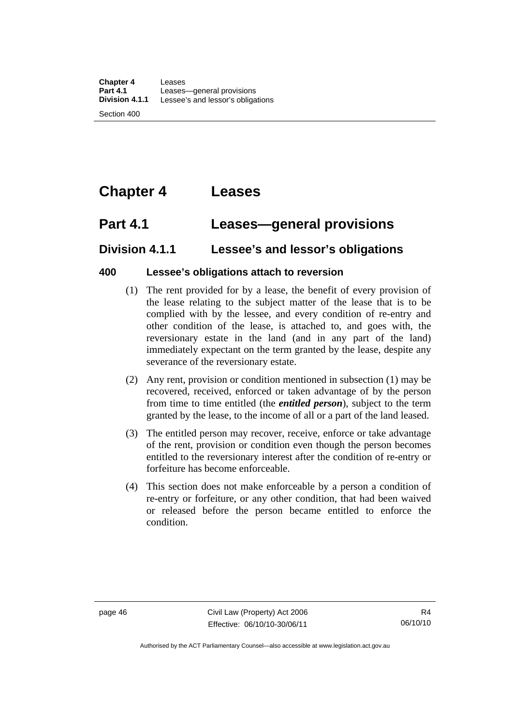# **Chapter 4 Leases**

### **Part 4.1 Leases—general provisions**

### **Division 4.1.1 Lessee's and lessor's obligations**

### **400 Lessee's obligations attach to reversion**

- (1) The rent provided for by a lease, the benefit of every provision of the lease relating to the subject matter of the lease that is to be complied with by the lessee, and every condition of re-entry and other condition of the lease, is attached to, and goes with, the reversionary estate in the land (and in any part of the land) immediately expectant on the term granted by the lease, despite any severance of the reversionary estate.
- (2) Any rent, provision or condition mentioned in subsection (1) may be recovered, received, enforced or taken advantage of by the person from time to time entitled (the *entitled person*), subject to the term granted by the lease, to the income of all or a part of the land leased.
- (3) The entitled person may recover, receive, enforce or take advantage of the rent, provision or condition even though the person becomes entitled to the reversionary interest after the condition of re-entry or forfeiture has become enforceable.
- (4) This section does not make enforceable by a person a condition of re-entry or forfeiture, or any other condition, that had been waived or released before the person became entitled to enforce the condition.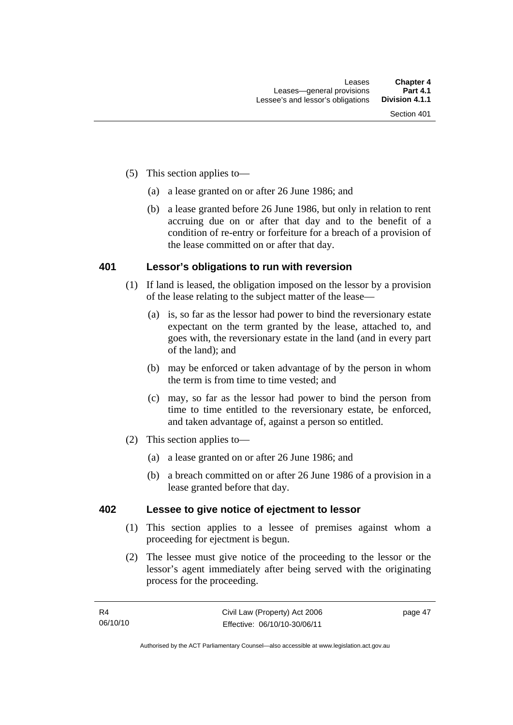- (5) This section applies to—
	- (a) a lease granted on or after 26 June 1986; and
	- (b) a lease granted before 26 June 1986, but only in relation to rent accruing due on or after that day and to the benefit of a condition of re-entry or forfeiture for a breach of a provision of the lease committed on or after that day.

### **401 Lessor's obligations to run with reversion**

- (1) If land is leased, the obligation imposed on the lessor by a provision of the lease relating to the subject matter of the lease—
	- (a) is, so far as the lessor had power to bind the reversionary estate expectant on the term granted by the lease, attached to, and goes with, the reversionary estate in the land (and in every part of the land); and
	- (b) may be enforced or taken advantage of by the person in whom the term is from time to time vested; and
	- (c) may, so far as the lessor had power to bind the person from time to time entitled to the reversionary estate, be enforced, and taken advantage of, against a person so entitled.
- (2) This section applies to—
	- (a) a lease granted on or after 26 June 1986; and
	- (b) a breach committed on or after 26 June 1986 of a provision in a lease granted before that day.

### **402 Lessee to give notice of ejectment to lessor**

- (1) This section applies to a lessee of premises against whom a proceeding for ejectment is begun.
- (2) The lessee must give notice of the proceeding to the lessor or the lessor's agent immediately after being served with the originating process for the proceeding.

page 47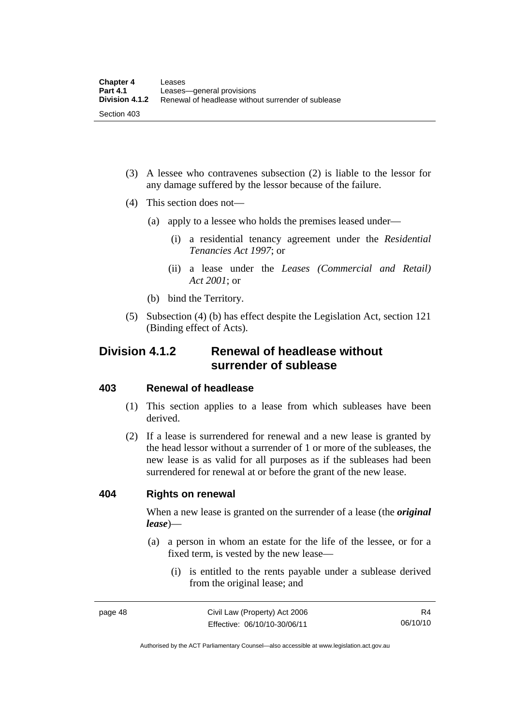- (3) A lessee who contravenes subsection (2) is liable to the lessor for any damage suffered by the lessor because of the failure.
- (4) This section does not—
	- (a) apply to a lessee who holds the premises leased under—
		- (i) a residential tenancy agreement under the *Residential Tenancies Act 1997*; or
		- (ii) a lease under the *Leases (Commercial and Retail) Act 2001*; or
	- (b) bind the Territory.
- (5) Subsection (4) (b) has effect despite the Legislation Act, section 121 (Binding effect of Acts).

### **Division 4.1.2 Renewal of headlease without surrender of sublease**

### **403 Renewal of headlease**

- (1) This section applies to a lease from which subleases have been derived.
- (2) If a lease is surrendered for renewal and a new lease is granted by the head lessor without a surrender of 1 or more of the subleases, the new lease is as valid for all purposes as if the subleases had been surrendered for renewal at or before the grant of the new lease.

### **404 Rights on renewal**

When a new lease is granted on the surrender of a lease (the *original lease*)—

- (a) a person in whom an estate for the life of the lessee, or for a fixed term, is vested by the new lease—
	- (i) is entitled to the rents payable under a sublease derived from the original lease; and

Authorised by the ACT Parliamentary Counsel—also accessible at www.legislation.act.gov.au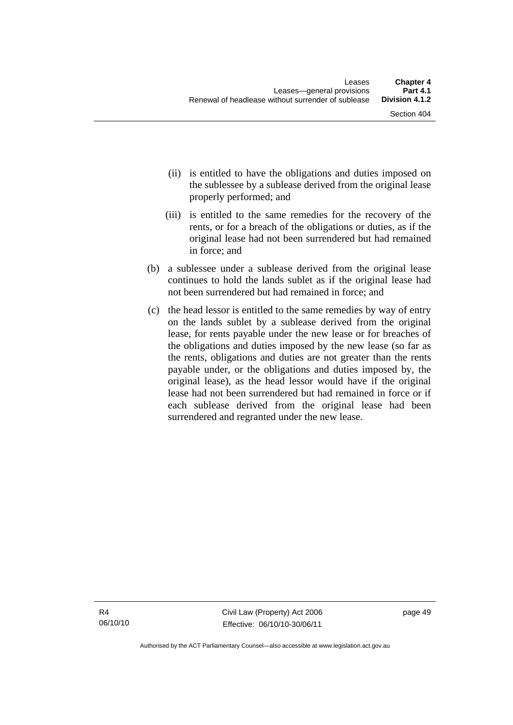- (ii) is entitled to have the obligations and duties imposed on the sublessee by a sublease derived from the original lease properly performed; and
- (iii) is entitled to the same remedies for the recovery of the rents, or for a breach of the obligations or duties, as if the original lease had not been surrendered but had remained in force; and
- (b) a sublessee under a sublease derived from the original lease continues to hold the lands sublet as if the original lease had not been surrendered but had remained in force; and
- (c) the head lessor is entitled to the same remedies by way of entry on the lands sublet by a sublease derived from the original lease, for rents payable under the new lease or for breaches of the obligations and duties imposed by the new lease (so far as the rents, obligations and duties are not greater than the rents payable under, or the obligations and duties imposed by, the original lease), as the head lessor would have if the original lease had not been surrendered but had remained in force or if each sublease derived from the original lease had been surrendered and regranted under the new lease.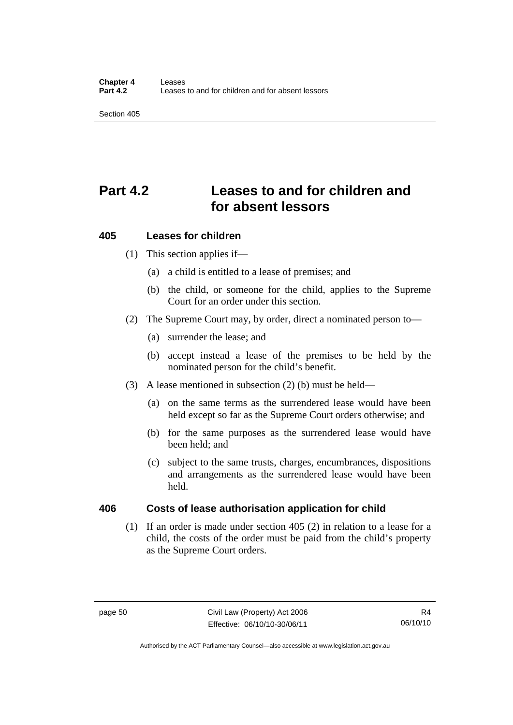Section 405

# **Part 4.2 Leases to and for children and for absent lessors**

### **405 Leases for children**

- (1) This section applies if—
	- (a) a child is entitled to a lease of premises; and
	- (b) the child, or someone for the child, applies to the Supreme Court for an order under this section.
- (2) The Supreme Court may, by order, direct a nominated person to—
	- (a) surrender the lease; and
	- (b) accept instead a lease of the premises to be held by the nominated person for the child's benefit.
- (3) A lease mentioned in subsection (2) (b) must be held—
	- (a) on the same terms as the surrendered lease would have been held except so far as the Supreme Court orders otherwise; and
	- (b) for the same purposes as the surrendered lease would have been held; and
	- (c) subject to the same trusts, charges, encumbrances, dispositions and arrangements as the surrendered lease would have been held.

### **406 Costs of lease authorisation application for child**

(1) If an order is made under section 405 (2) in relation to a lease for a child, the costs of the order must be paid from the child's property as the Supreme Court orders.

Authorised by the ACT Parliamentary Counsel—also accessible at www.legislation.act.gov.au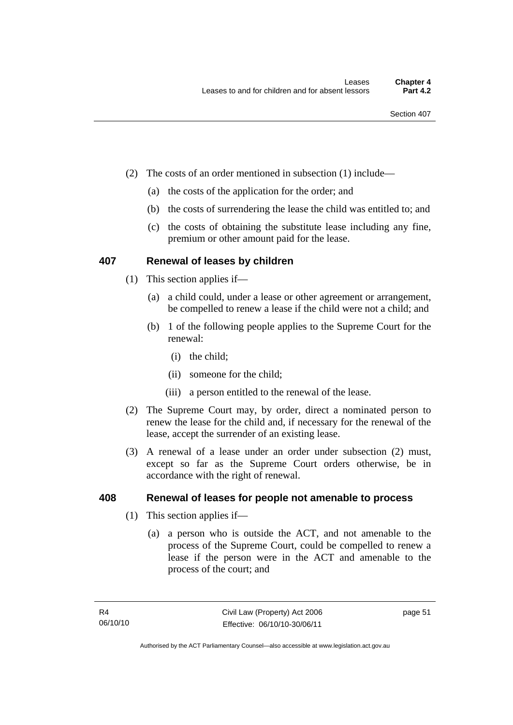- (2) The costs of an order mentioned in subsection (1) include—
	- (a) the costs of the application for the order; and
	- (b) the costs of surrendering the lease the child was entitled to; and
	- (c) the costs of obtaining the substitute lease including any fine, premium or other amount paid for the lease.

### **407 Renewal of leases by children**

- (1) This section applies if—
	- (a) a child could, under a lease or other agreement or arrangement, be compelled to renew a lease if the child were not a child; and
	- (b) 1 of the following people applies to the Supreme Court for the renewal:
		- (i) the child;
		- (ii) someone for the child;
		- (iii) a person entitled to the renewal of the lease.
- (2) The Supreme Court may, by order, direct a nominated person to renew the lease for the child and, if necessary for the renewal of the lease, accept the surrender of an existing lease.
- (3) A renewal of a lease under an order under subsection (2) must, except so far as the Supreme Court orders otherwise, be in accordance with the right of renewal.

### **408 Renewal of leases for people not amenable to process**

- (1) This section applies if—
	- (a) a person who is outside the ACT, and not amenable to the process of the Supreme Court, could be compelled to renew a lease if the person were in the ACT and amenable to the process of the court; and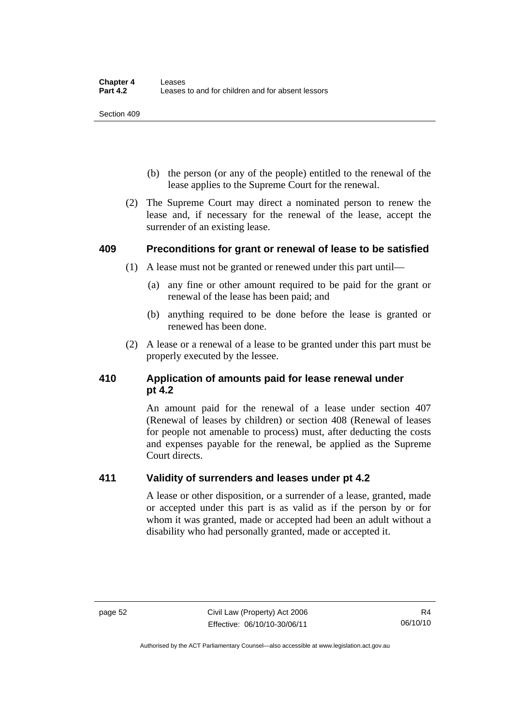Section 409

- (b) the person (or any of the people) entitled to the renewal of the lease applies to the Supreme Court for the renewal.
- (2) The Supreme Court may direct a nominated person to renew the lease and, if necessary for the renewal of the lease, accept the surrender of an existing lease.

### **409 Preconditions for grant or renewal of lease to be satisfied**

- (1) A lease must not be granted or renewed under this part until—
	- (a) any fine or other amount required to be paid for the grant or renewal of the lease has been paid; and
	- (b) anything required to be done before the lease is granted or renewed has been done.
- (2) A lease or a renewal of a lease to be granted under this part must be properly executed by the lessee.

### **410 Application of amounts paid for lease renewal under pt 4.2**

An amount paid for the renewal of a lease under section 407 (Renewal of leases by children) or section 408 (Renewal of leases for people not amenable to process) must, after deducting the costs and expenses payable for the renewal, be applied as the Supreme Court directs.

### **411 Validity of surrenders and leases under pt 4.2**

A lease or other disposition, or a surrender of a lease, granted, made or accepted under this part is as valid as if the person by or for whom it was granted, made or accepted had been an adult without a disability who had personally granted, made or accepted it.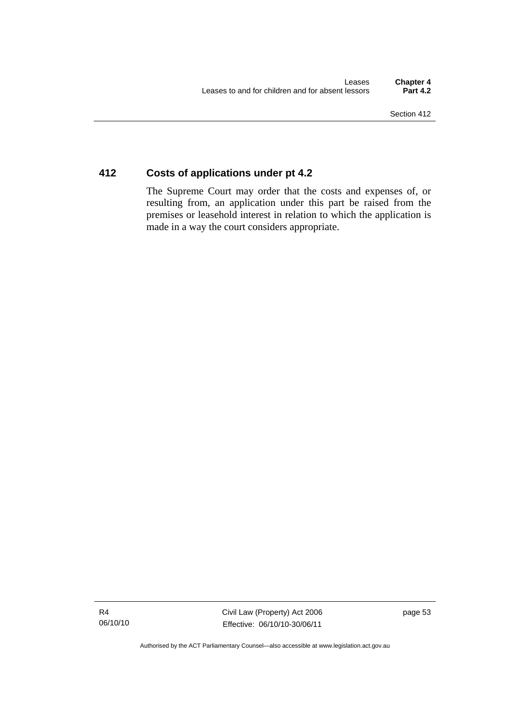### **412 Costs of applications under pt 4.2**

The Supreme Court may order that the costs and expenses of, or resulting from, an application under this part be raised from the premises or leasehold interest in relation to which the application is made in a way the court considers appropriate.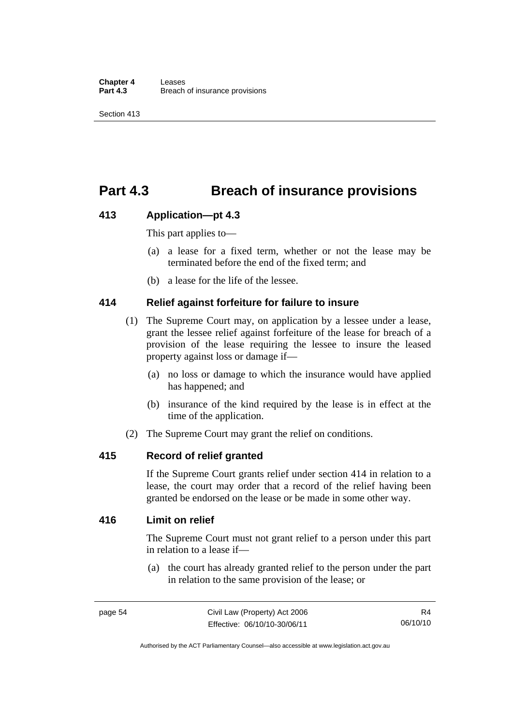## **Part 4.3 Breach of insurance provisions**

### **413 Application—pt 4.3**

This part applies to—

- (a) a lease for a fixed term, whether or not the lease may be terminated before the end of the fixed term; and
- (b) a lease for the life of the lessee.

### **414 Relief against forfeiture for failure to insure**

- (1) The Supreme Court may, on application by a lessee under a lease, grant the lessee relief against forfeiture of the lease for breach of a provision of the lease requiring the lessee to insure the leased property against loss or damage if—
	- (a) no loss or damage to which the insurance would have applied has happened; and
	- (b) insurance of the kind required by the lease is in effect at the time of the application.
- (2) The Supreme Court may grant the relief on conditions.

### **415 Record of relief granted**

If the Supreme Court grants relief under section 414 in relation to a lease, the court may order that a record of the relief having been granted be endorsed on the lease or be made in some other way.

### **416 Limit on relief**

The Supreme Court must not grant relief to a person under this part in relation to a lease if—

 (a) the court has already granted relief to the person under the part in relation to the same provision of the lease; or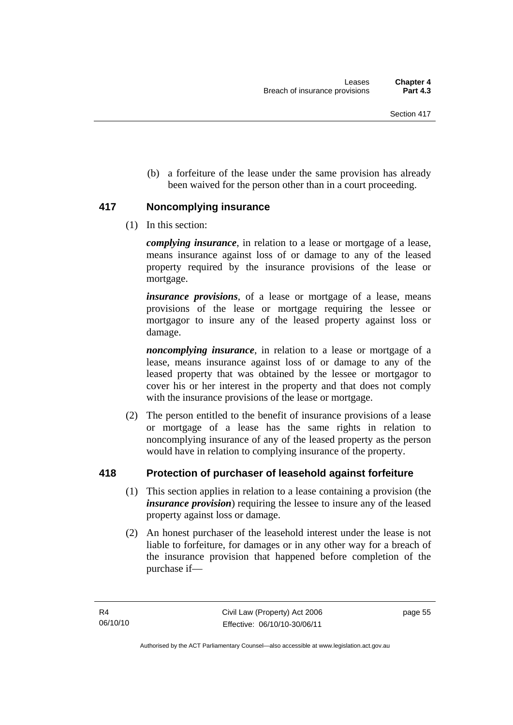(b) a forfeiture of the lease under the same provision has already been waived for the person other than in a court proceeding.

### **417 Noncomplying insurance**

(1) In this section:

*complying insurance*, in relation to a lease or mortgage of a lease, means insurance against loss of or damage to any of the leased property required by the insurance provisions of the lease or mortgage.

*insurance provisions*, of a lease or mortgage of a lease, means provisions of the lease or mortgage requiring the lessee or mortgagor to insure any of the leased property against loss or damage.

*noncomplying insurance*, in relation to a lease or mortgage of a lease, means insurance against loss of or damage to any of the leased property that was obtained by the lessee or mortgagor to cover his or her interest in the property and that does not comply with the insurance provisions of the lease or mortgage.

 (2) The person entitled to the benefit of insurance provisions of a lease or mortgage of a lease has the same rights in relation to noncomplying insurance of any of the leased property as the person would have in relation to complying insurance of the property.

### **418 Protection of purchaser of leasehold against forfeiture**

- (1) This section applies in relation to a lease containing a provision (the *insurance provision*) requiring the lessee to insure any of the leased property against loss or damage.
- (2) An honest purchaser of the leasehold interest under the lease is not liable to forfeiture, for damages or in any other way for a breach of the insurance provision that happened before completion of the purchase if—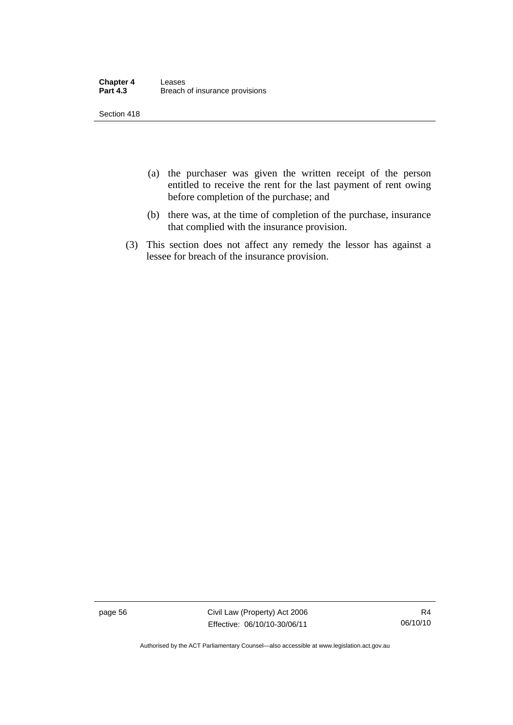| <b>Chapter 4</b> | Leases                         |
|------------------|--------------------------------|
| <b>Part 4.3</b>  | Breach of insurance provisions |

Section 418

- (a) the purchaser was given the written receipt of the person entitled to receive the rent for the last payment of rent owing before completion of the purchase; and
- (b) there was, at the time of completion of the purchase, insurance that complied with the insurance provision.
- (3) This section does not affect any remedy the lessor has against a lessee for breach of the insurance provision.

page 56 Civil Law (Property) Act 2006 Effective: 06/10/10-30/06/11

Authorised by the ACT Parliamentary Counsel—also accessible at www.legislation.act.gov.au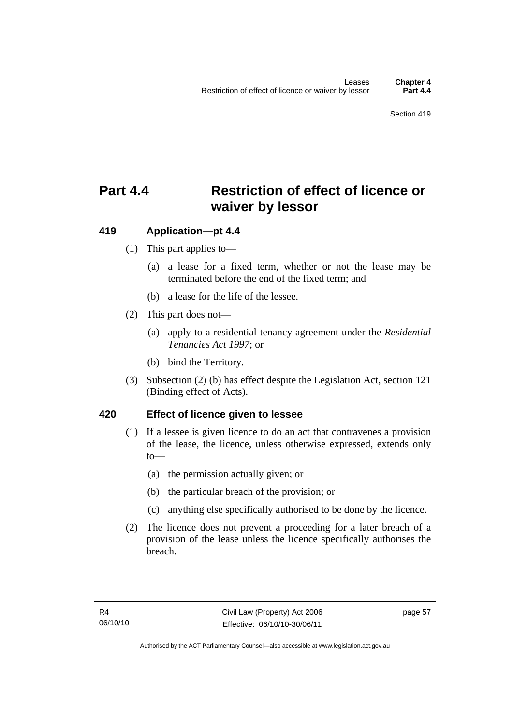# **Part 4.4 Restriction of effect of licence or waiver by lessor**

### **419 Application—pt 4.4**

- (1) This part applies to—
	- (a) a lease for a fixed term, whether or not the lease may be terminated before the end of the fixed term; and
	- (b) a lease for the life of the lessee.
- (2) This part does not—
	- (a) apply to a residential tenancy agreement under the *Residential Tenancies Act 1997*; or
	- (b) bind the Territory.
- (3) Subsection (2) (b) has effect despite the Legislation Act, section 121 (Binding effect of Acts).

### **420 Effect of licence given to lessee**

- (1) If a lessee is given licence to do an act that contravenes a provision of the lease, the licence, unless otherwise expressed, extends only to—
	- (a) the permission actually given; or
	- (b) the particular breach of the provision; or
	- (c) anything else specifically authorised to be done by the licence.
- (2) The licence does not prevent a proceeding for a later breach of a provision of the lease unless the licence specifically authorises the breach.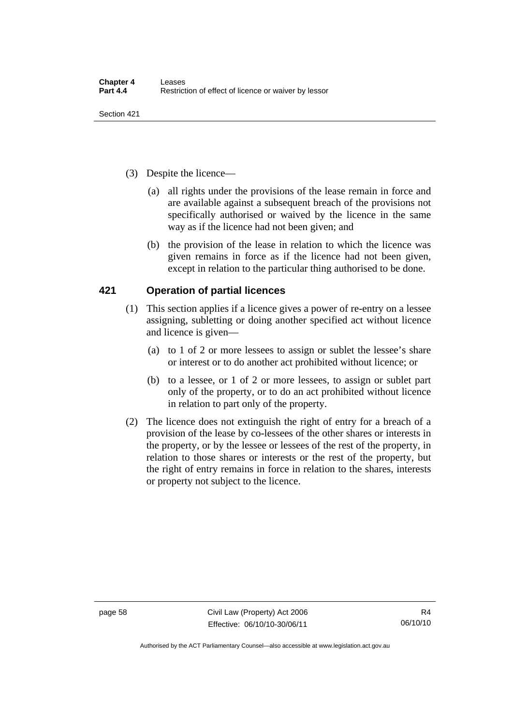- (3) Despite the licence—
	- (a) all rights under the provisions of the lease remain in force and are available against a subsequent breach of the provisions not specifically authorised or waived by the licence in the same way as if the licence had not been given; and
	- (b) the provision of the lease in relation to which the licence was given remains in force as if the licence had not been given, except in relation to the particular thing authorised to be done.

### **421 Operation of partial licences**

- (1) This section applies if a licence gives a power of re-entry on a lessee assigning, subletting or doing another specified act without licence and licence is given—
	- (a) to 1 of 2 or more lessees to assign or sublet the lessee's share or interest or to do another act prohibited without licence; or
	- (b) to a lessee, or 1 of 2 or more lessees, to assign or sublet part only of the property, or to do an act prohibited without licence in relation to part only of the property.
- (2) The licence does not extinguish the right of entry for a breach of a provision of the lease by co-lessees of the other shares or interests in the property, or by the lessee or lessees of the rest of the property, in relation to those shares or interests or the rest of the property, but the right of entry remains in force in relation to the shares, interests or property not subject to the licence.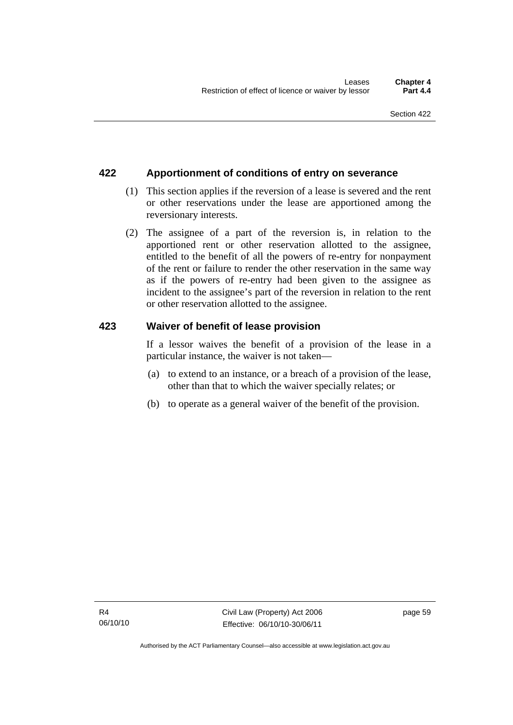### **422 Apportionment of conditions of entry on severance**

- (1) This section applies if the reversion of a lease is severed and the rent or other reservations under the lease are apportioned among the reversionary interests.
- (2) The assignee of a part of the reversion is, in relation to the apportioned rent or other reservation allotted to the assignee, entitled to the benefit of all the powers of re-entry for nonpayment of the rent or failure to render the other reservation in the same way as if the powers of re-entry had been given to the assignee as incident to the assignee's part of the reversion in relation to the rent or other reservation allotted to the assignee.

### **423 Waiver of benefit of lease provision**

If a lessor waives the benefit of a provision of the lease in a particular instance, the waiver is not taken—

- (a) to extend to an instance, or a breach of a provision of the lease, other than that to which the waiver specially relates; or
- (b) to operate as a general waiver of the benefit of the provision.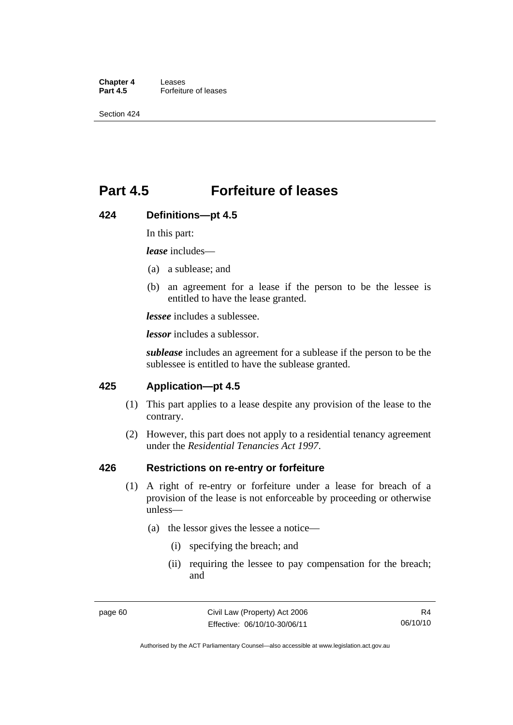**Chapter 4 Leases**<br>**Part 4.5 Forfeitu Part 4.5** Forfeiture of leases

Section 424

## **Part 4.5 Forfeiture of leases**

#### **424 Definitions—pt 4.5**

In this part:

*lease* includes—

- (a) a sublease; and
- (b) an agreement for a lease if the person to be the lessee is entitled to have the lease granted.

*lessee* includes a sublessee.

*lessor* includes a sublessor.

*sublease* includes an agreement for a sublease if the person to be the sublessee is entitled to have the sublease granted.

### **425 Application—pt 4.5**

- (1) This part applies to a lease despite any provision of the lease to the contrary.
- (2) However, this part does not apply to a residential tenancy agreement under the *Residential Tenancies Act 1997*.

### **426 Restrictions on re-entry or forfeiture**

- (1) A right of re-entry or forfeiture under a lease for breach of a provision of the lease is not enforceable by proceeding or otherwise unless—
	- (a) the lessor gives the lessee a notice—
		- (i) specifying the breach; and
		- (ii) requiring the lessee to pay compensation for the breach; and

R4 06/10/10

Authorised by the ACT Parliamentary Counsel—also accessible at www.legislation.act.gov.au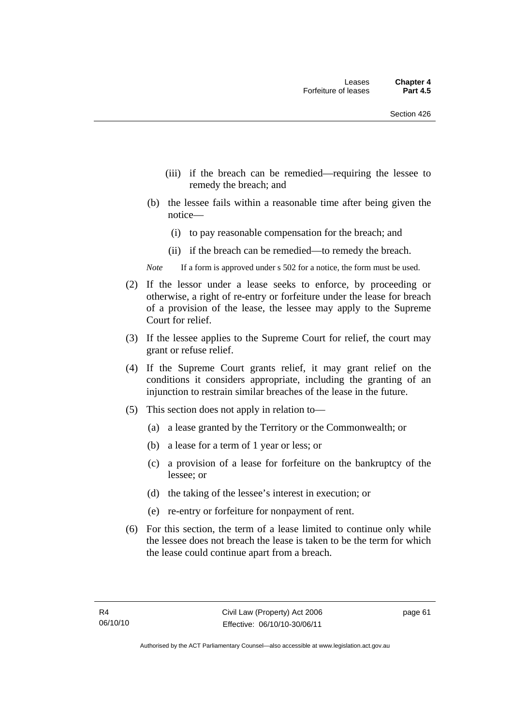- (iii) if the breach can be remedied—requiring the lessee to remedy the breach; and
- (b) the lessee fails within a reasonable time after being given the notice—
	- (i) to pay reasonable compensation for the breach; and
	- (ii) if the breach can be remedied—to remedy the breach.
- *Note* If a form is approved under s 502 for a notice, the form must be used.
- (2) If the lessor under a lease seeks to enforce, by proceeding or otherwise, a right of re-entry or forfeiture under the lease for breach of a provision of the lease, the lessee may apply to the Supreme Court for relief.
- (3) If the lessee applies to the Supreme Court for relief, the court may grant or refuse relief.
- (4) If the Supreme Court grants relief, it may grant relief on the conditions it considers appropriate, including the granting of an injunction to restrain similar breaches of the lease in the future.
- (5) This section does not apply in relation to—
	- (a) a lease granted by the Territory or the Commonwealth; or
	- (b) a lease for a term of 1 year or less; or
	- (c) a provision of a lease for forfeiture on the bankruptcy of the lessee; or
	- (d) the taking of the lessee's interest in execution; or
	- (e) re-entry or forfeiture for nonpayment of rent.
- (6) For this section, the term of a lease limited to continue only while the lessee does not breach the lease is taken to be the term for which the lease could continue apart from a breach.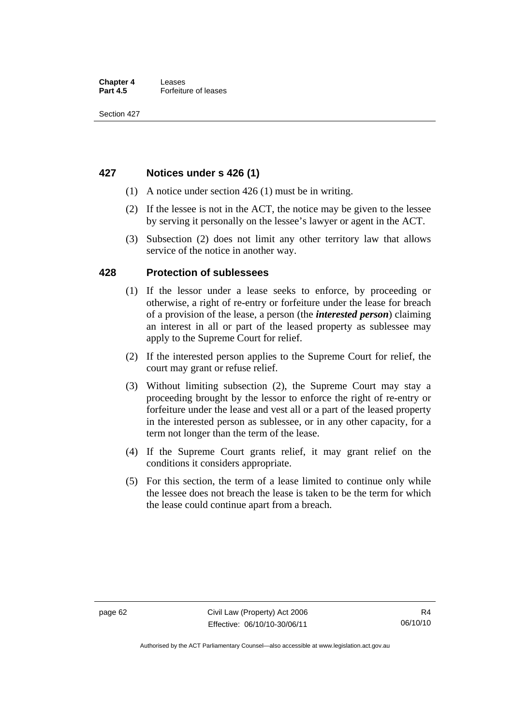### **427 Notices under s 426 (1)**

- (1) A notice under section 426 (1) must be in writing.
- (2) If the lessee is not in the ACT, the notice may be given to the lessee by serving it personally on the lessee's lawyer or agent in the ACT.
- (3) Subsection (2) does not limit any other territory law that allows service of the notice in another way.

### **428 Protection of sublessees**

- (1) If the lessor under a lease seeks to enforce, by proceeding or otherwise, a right of re-entry or forfeiture under the lease for breach of a provision of the lease, a person (the *interested person*) claiming an interest in all or part of the leased property as sublessee may apply to the Supreme Court for relief.
- (2) If the interested person applies to the Supreme Court for relief, the court may grant or refuse relief.
- (3) Without limiting subsection (2), the Supreme Court may stay a proceeding brought by the lessor to enforce the right of re-entry or forfeiture under the lease and vest all or a part of the leased property in the interested person as sublessee, or in any other capacity, for a term not longer than the term of the lease.
- (4) If the Supreme Court grants relief, it may grant relief on the conditions it considers appropriate.
- (5) For this section, the term of a lease limited to continue only while the lessee does not breach the lease is taken to be the term for which the lease could continue apart from a breach.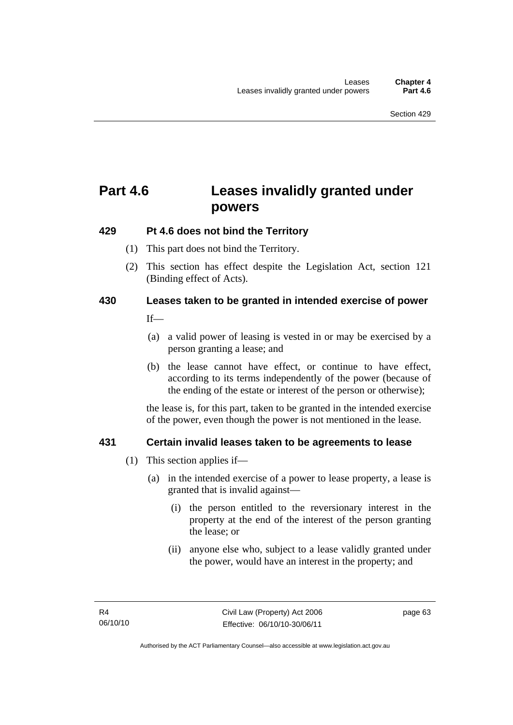# **Part 4.6 Leases invalidly granted under powers**

## **429 Pt 4.6 does not bind the Territory**

- (1) This part does not bind the Territory.
- (2) This section has effect despite the Legislation Act*,* section 121 (Binding effect of Acts).

## **430 Leases taken to be granted in intended exercise of power**

 $If$ —

- (a) a valid power of leasing is vested in or may be exercised by a person granting a lease; and
- (b) the lease cannot have effect, or continue to have effect, according to its terms independently of the power (because of the ending of the estate or interest of the person or otherwise);

the lease is, for this part, taken to be granted in the intended exercise of the power, even though the power is not mentioned in the lease.

## **431 Certain invalid leases taken to be agreements to lease**

- (1) This section applies if—
	- (a) in the intended exercise of a power to lease property, a lease is granted that is invalid against—
		- (i) the person entitled to the reversionary interest in the property at the end of the interest of the person granting the lease; or
		- (ii) anyone else who, subject to a lease validly granted under the power, would have an interest in the property; and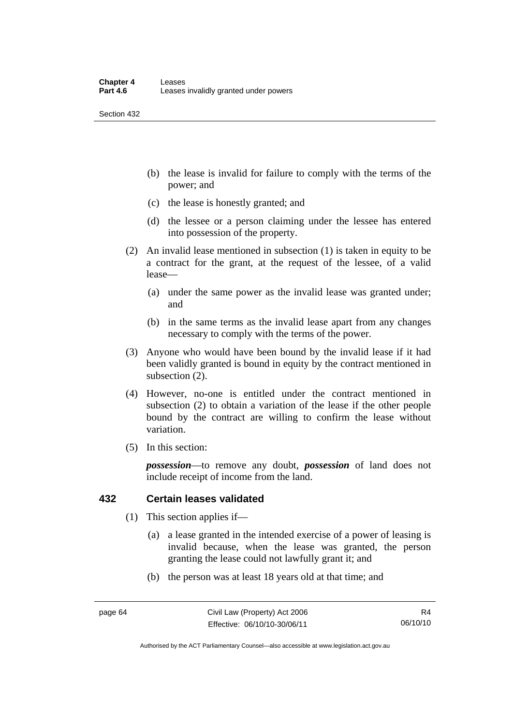Section 432

- (b) the lease is invalid for failure to comply with the terms of the power; and
- (c) the lease is honestly granted; and
- (d) the lessee or a person claiming under the lessee has entered into possession of the property.
- (2) An invalid lease mentioned in subsection (1) is taken in equity to be a contract for the grant, at the request of the lessee, of a valid lease—
	- (a) under the same power as the invalid lease was granted under; and
	- (b) in the same terms as the invalid lease apart from any changes necessary to comply with the terms of the power.
- (3) Anyone who would have been bound by the invalid lease if it had been validly granted is bound in equity by the contract mentioned in subsection (2).
- (4) However, no-one is entitled under the contract mentioned in subsection (2) to obtain a variation of the lease if the other people bound by the contract are willing to confirm the lease without variation.
- (5) In this section:

*possession*—to remove any doubt, *possession* of land does not include receipt of income from the land.

## **432 Certain leases validated**

- (1) This section applies if—
	- (a) a lease granted in the intended exercise of a power of leasing is invalid because, when the lease was granted, the person granting the lease could not lawfully grant it; and
	- (b) the person was at least 18 years old at that time; and

Authorised by the ACT Parliamentary Counsel—also accessible at www.legislation.act.gov.au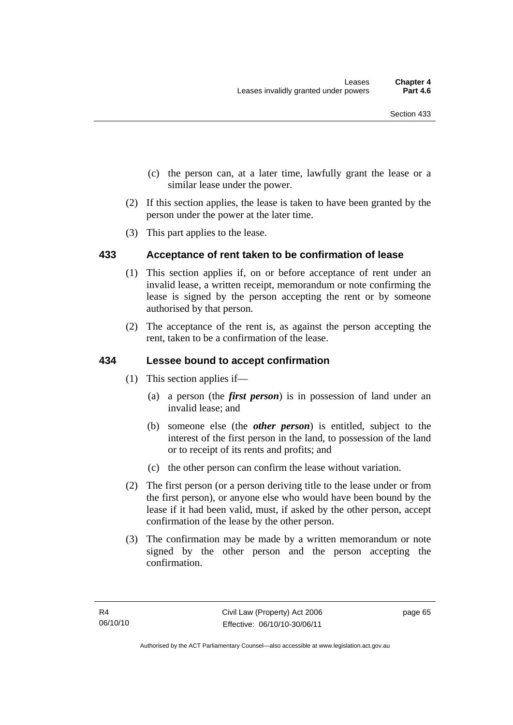- (c) the person can, at a later time, lawfully grant the lease or a similar lease under the power.
- (2) If this section applies, the lease is taken to have been granted by the person under the power at the later time.
- (3) This part applies to the lease.

## **433 Acceptance of rent taken to be confirmation of lease**

- (1) This section applies if, on or before acceptance of rent under an invalid lease, a written receipt, memorandum or note confirming the lease is signed by the person accepting the rent or by someone authorised by that person.
- (2) The acceptance of the rent is, as against the person accepting the rent, taken to be a confirmation of the lease.

## **434 Lessee bound to accept confirmation**

- (1) This section applies if—
	- (a) a person (the *first person*) is in possession of land under an invalid lease; and
	- (b) someone else (the *other person*) is entitled, subject to the interest of the first person in the land, to possession of the land or to receipt of its rents and profits; and
	- (c) the other person can confirm the lease without variation.
- (2) The first person (or a person deriving title to the lease under or from the first person), or anyone else who would have been bound by the lease if it had been valid, must, if asked by the other person, accept confirmation of the lease by the other person.
- (3) The confirmation may be made by a written memorandum or note signed by the other person and the person accepting the confirmation.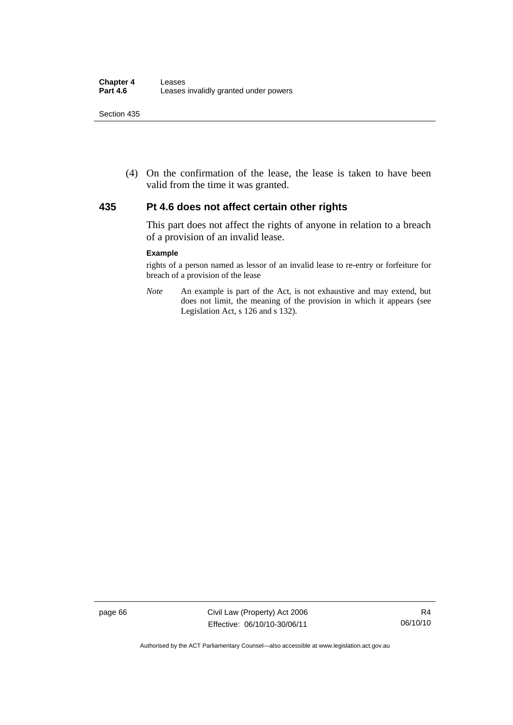(4) On the confirmation of the lease, the lease is taken to have been valid from the time it was granted.

### **435 Pt 4.6 does not affect certain other rights**

This part does not affect the rights of anyone in relation to a breach of a provision of an invalid lease.

#### **Example**

rights of a person named as lessor of an invalid lease to re-entry or forfeiture for breach of a provision of the lease

*Note* An example is part of the Act, is not exhaustive and may extend, but does not limit, the meaning of the provision in which it appears (see Legislation Act, s 126 and s 132).

page 66 Civil Law (Property) Act 2006 Effective: 06/10/10-30/06/11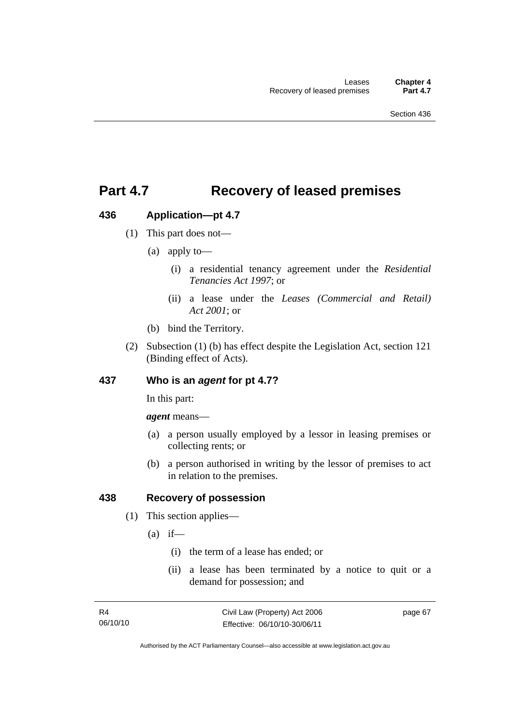## **Part 4.7 Recovery of leased premises**

## **436 Application—pt 4.7**

- (1) This part does not—
	- (a) apply to—
		- (i) a residential tenancy agreement under the *Residential Tenancies Act 1997*; or
		- (ii) a lease under the *Leases (Commercial and Retail) Act 2001*; or
	- (b) bind the Territory.
- (2) Subsection (1) (b) has effect despite the Legislation Act, section 121 (Binding effect of Acts).

## **437 Who is an** *agent* **for pt 4.7?**

In this part:

*agent* means—

- (a) a person usually employed by a lessor in leasing premises or collecting rents; or
- (b) a person authorised in writing by the lessor of premises to act in relation to the premises.

## **438 Recovery of possession**

- (1) This section applies—
	- $(a)$  if—
		- (i) the term of a lease has ended; or
		- (ii) a lease has been terminated by a notice to quit or a demand for possession; and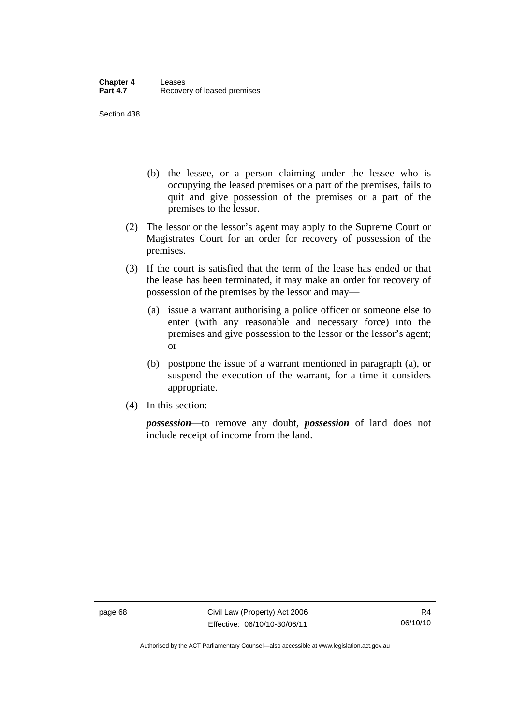Section 438

- (b) the lessee, or a person claiming under the lessee who is occupying the leased premises or a part of the premises, fails to quit and give possession of the premises or a part of the premises to the lessor.
- (2) The lessor or the lessor's agent may apply to the Supreme Court or Magistrates Court for an order for recovery of possession of the premises.
- (3) If the court is satisfied that the term of the lease has ended or that the lease has been terminated, it may make an order for recovery of possession of the premises by the lessor and may—
	- (a) issue a warrant authorising a police officer or someone else to enter (with any reasonable and necessary force) into the premises and give possession to the lessor or the lessor's agent; or
	- (b) postpone the issue of a warrant mentioned in paragraph (a), or suspend the execution of the warrant, for a time it considers appropriate.
- (4) In this section:

*possession*—to remove any doubt, *possession* of land does not include receipt of income from the land.

page 68 Civil Law (Property) Act 2006 Effective: 06/10/10-30/06/11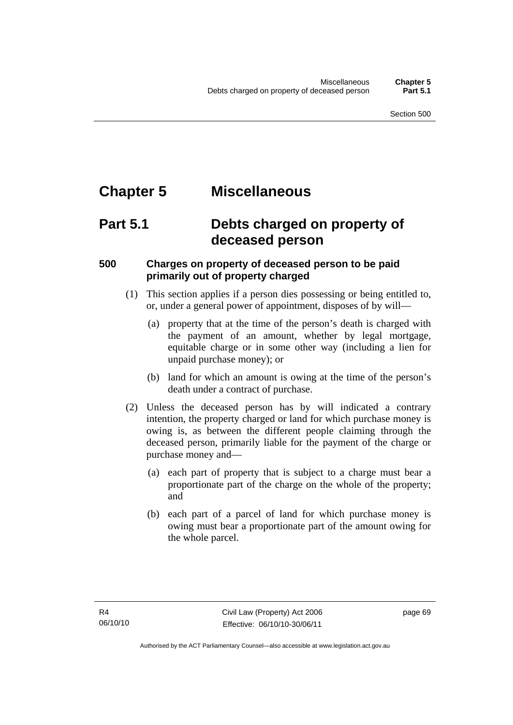# **Chapter 5 Miscellaneous**

## **Part 5.1 Debts charged on property of deceased person**

## **500 Charges on property of deceased person to be paid primarily out of property charged**

- (1) This section applies if a person dies possessing or being entitled to, or, under a general power of appointment, disposes of by will—
	- (a) property that at the time of the person's death is charged with the payment of an amount, whether by legal mortgage, equitable charge or in some other way (including a lien for unpaid purchase money); or
	- (b) land for which an amount is owing at the time of the person's death under a contract of purchase.
- (2) Unless the deceased person has by will indicated a contrary intention, the property charged or land for which purchase money is owing is, as between the different people claiming through the deceased person, primarily liable for the payment of the charge or purchase money and—
	- (a) each part of property that is subject to a charge must bear a proportionate part of the charge on the whole of the property; and
	- (b) each part of a parcel of land for which purchase money is owing must bear a proportionate part of the amount owing for the whole parcel.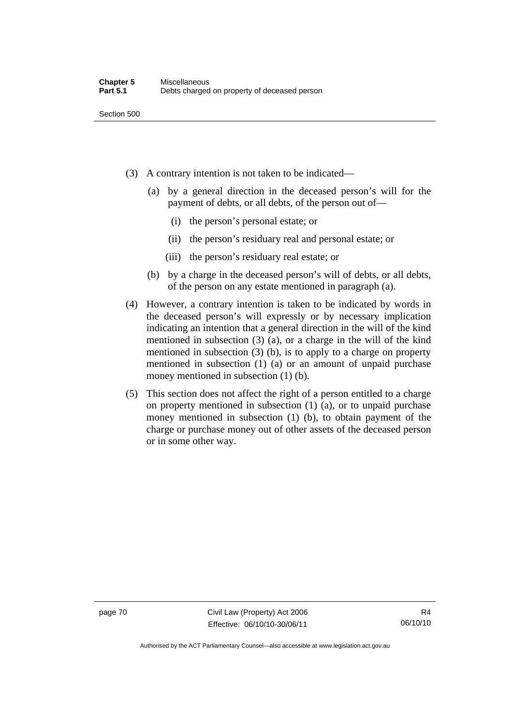- (3) A contrary intention is not taken to be indicated—
	- (a) by a general direction in the deceased person's will for the payment of debts, or all debts, of the person out of—
		- (i) the person's personal estate; or
		- (ii) the person's residuary real and personal estate; or
		- (iii) the person's residuary real estate; or
	- (b) by a charge in the deceased person's will of debts, or all debts, of the person on any estate mentioned in paragraph (a).
- (4) However, a contrary intention is taken to be indicated by words in the deceased person's will expressly or by necessary implication indicating an intention that a general direction in the will of the kind mentioned in subsection (3) (a), or a charge in the will of the kind mentioned in subsection (3) (b), is to apply to a charge on property mentioned in subsection (1) (a) or an amount of unpaid purchase money mentioned in subsection (1) (b).
- (5) This section does not affect the right of a person entitled to a charge on property mentioned in subsection (1) (a), or to unpaid purchase money mentioned in subsection (1) (b), to obtain payment of the charge or purchase money out of other assets of the deceased person or in some other way.

page 70 Civil Law (Property) Act 2006 Effective: 06/10/10-30/06/11

Authorised by the ACT Parliamentary Counsel—also accessible at www.legislation.act.gov.au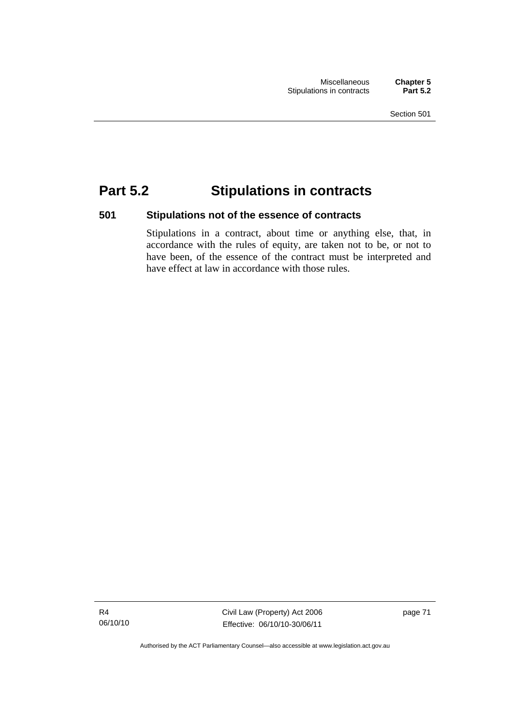# **Part 5.2 Stipulations in contracts**

## **501 Stipulations not of the essence of contracts**

Stipulations in a contract, about time or anything else, that, in accordance with the rules of equity, are taken not to be, or not to have been, of the essence of the contract must be interpreted and have effect at law in accordance with those rules.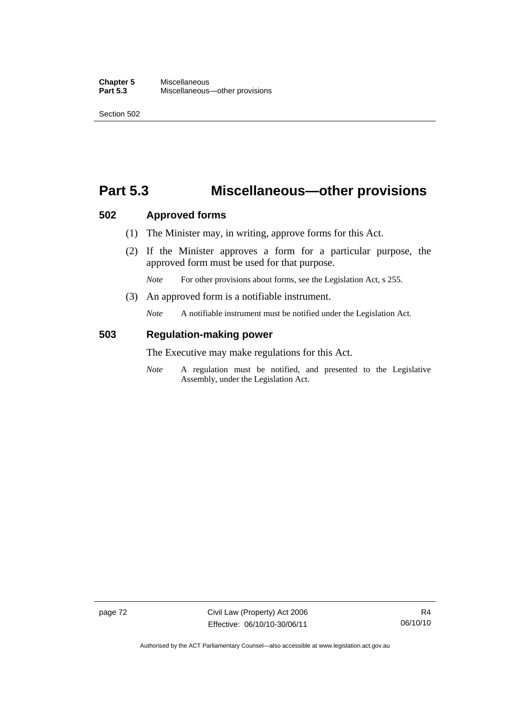## **Part 5.3 Miscellaneous—other provisions**

### **502 Approved forms**

- (1) The Minister may, in writing, approve forms for this Act.
- (2) If the Minister approves a form for a particular purpose, the approved form must be used for that purpose.

*Note* For other provisions about forms, see the Legislation Act, s 255.

(3) An approved form is a notifiable instrument.

*Note* A notifiable instrument must be notified under the Legislation Act.

## **503 Regulation-making power**

The Executive may make regulations for this Act.

*Note* A regulation must be notified, and presented to the Legislative Assembly, under the Legislation Act.

page 72 Civil Law (Property) Act 2006 Effective: 06/10/10-30/06/11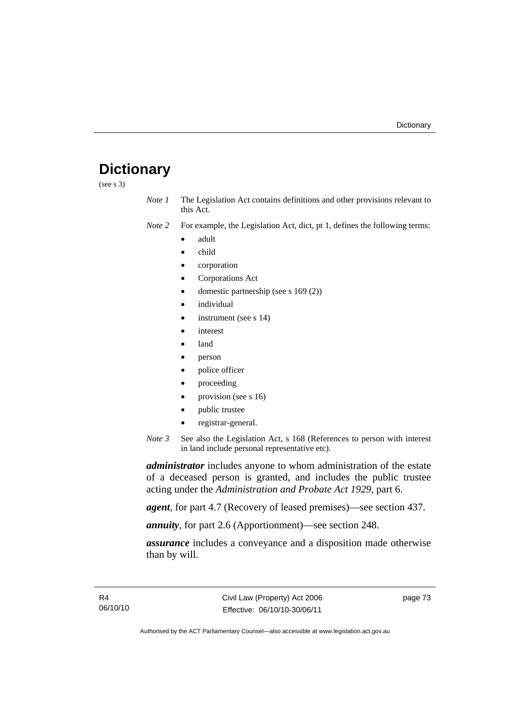# **Dictionary**

(see s 3)

*Note 1* The Legislation Act contains definitions and other provisions relevant to this Act.

*Note 2* For example, the Legislation Act, dict, pt 1, defines the following terms:

- adult
- child
- corporation
- Corporations Act
- domestic partnership (see s 169 (2))
- individual
- instrument (see s 14)
- interest
- land
- person
- police officer
- proceeding
- provision (see s 16)
- public trustee
- registrar-general.
- *Note 3* See also the Legislation Act, s 168 (References to person with interest in land include personal representative etc).

*administrator* includes anyone to whom administration of the estate of a deceased person is granted, and includes the public trustee acting under the *Administration and Probate Act 1929*, part 6.

*agent*, for part 4.7 (Recovery of leased premises)—see section 437.

*annuity*, for part 2.6 (Apportionment)—see section 248.

*assurance* includes a conveyance and a disposition made otherwise than by will.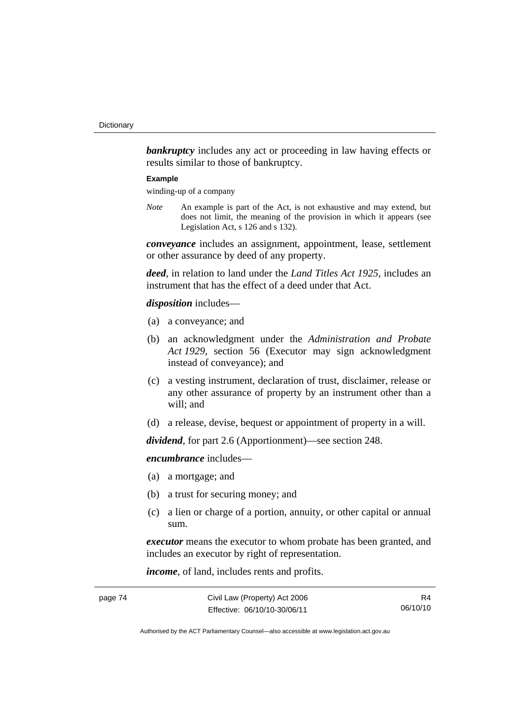**bankruptcy** includes any act or proceeding in law having effects or results similar to those of bankruptcy.

#### **Example**

winding-up of a company

*Note* An example is part of the Act, is not exhaustive and may extend, but does not limit, the meaning of the provision in which it appears (see Legislation Act, s 126 and s 132).

*conveyance* includes an assignment, appointment, lease, settlement or other assurance by deed of any property.

*deed*, in relation to land under the *Land Titles Act 1925*, includes an instrument that has the effect of a deed under that Act.

#### *disposition* includes—

- (a) a conveyance; and
- (b) an acknowledgment under the *Administration and Probate Act 1929*, section 56 (Executor may sign acknowledgment instead of conveyance); and
- (c) a vesting instrument, declaration of trust, disclaimer, release or any other assurance of property by an instrument other than a will; and
- (d) a release, devise, bequest or appointment of property in a will.

*dividend*, for part 2.6 (Apportionment)—see section 248.

*encumbrance* includes—

- (a) a mortgage; and
- (b) a trust for securing money; and
- (c) a lien or charge of a portion, annuity, or other capital or annual sum.

*executor* means the executor to whom probate has been granted, and includes an executor by right of representation.

*income*, of land, includes rents and profits.

| page 74 | Civil Law (Property) Act 2006 | R4       |
|---------|-------------------------------|----------|
|         | Effective: 06/10/10-30/06/11  | 06/10/10 |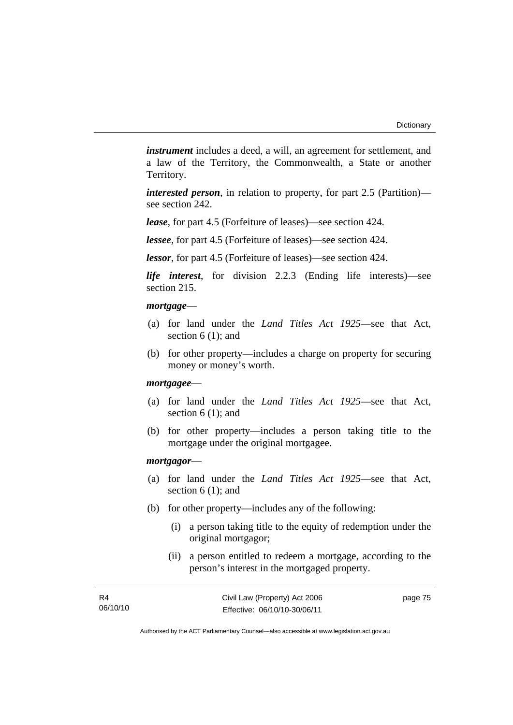*instrument* includes a deed, a will, an agreement for settlement, and a law of the Territory, the Commonwealth, a State or another Territory.

*interested person*, in relation to property, for part 2.5 (Partition) see section 242.

*lease*, for part 4.5 (Forfeiture of leases)—see section 424.

*lessee*, for part 4.5 (Forfeiture of leases)—see section 424.

*lessor*, for part 4.5 (Forfeiture of leases)—see section 424.

*life interest*, for division 2.2.3 (Ending life interests)—see section 215.

#### *mortgage*—

- (a) for land under the *Land Titles Act 1925*—see that Act, section 6 (1): and
- (b) for other property—includes a charge on property for securing money or money's worth.

#### *mortgagee*—

- (a) for land under the *Land Titles Act 1925*—see that Act, section 6 (1); and
- (b) for other property—includes a person taking title to the mortgage under the original mortgagee.

#### *mortgagor*—

- (a) for land under the *Land Titles Act 1925*—see that Act, section 6 (1); and
- (b) for other property—includes any of the following:
	- (i) a person taking title to the equity of redemption under the original mortgagor;
	- (ii) a person entitled to redeem a mortgage, according to the person's interest in the mortgaged property.

| R4       |  |  |
|----------|--|--|
| 06/10/10 |  |  |

Authorised by the ACT Parliamentary Counsel—also accessible at www.legislation.act.gov.au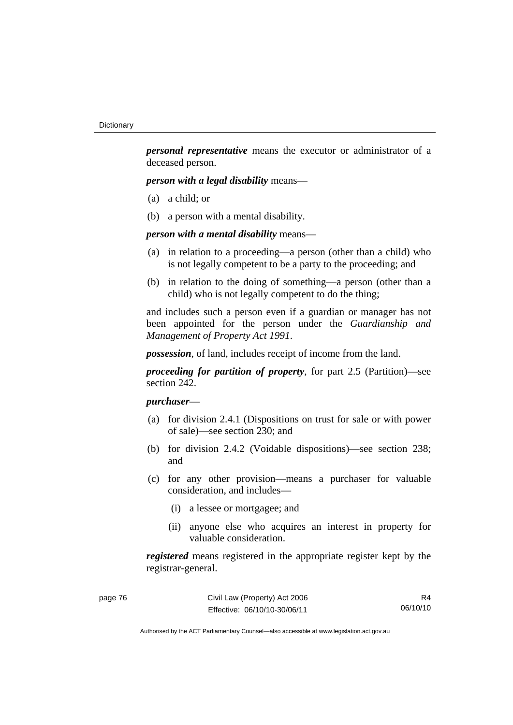*personal representative* means the executor or administrator of a deceased person.

*person with a legal disability* means—

- (a) a child; or
- (b) a person with a mental disability.

*person with a mental disability* means—

- (a) in relation to a proceeding—a person (other than a child) who is not legally competent to be a party to the proceeding; and
- (b) in relation to the doing of something—a person (other than a child) who is not legally competent to do the thing;

and includes such a person even if a guardian or manager has not been appointed for the person under the *Guardianship and Management of Property Act 1991*.

*possession*, of land, includes receipt of income from the land.

*proceeding for partition of property*, for part 2.5 (Partition)—see section 242.

## *purchaser*—

- (a) for division 2.4.1 (Dispositions on trust for sale or with power of sale)—see section 230; and
- (b) for division 2.4.2 (Voidable dispositions)—see section 238; and
- (c) for any other provision—means a purchaser for valuable consideration, and includes—
	- (i) a lessee or mortgagee; and
	- (ii) anyone else who acquires an interest in property for valuable consideration.

*registered* means registered in the appropriate register kept by the registrar-general.

| page 76 | Civil Law (Property) Act 2006 | R4       |
|---------|-------------------------------|----------|
|         | Effective: 06/10/10-30/06/11  | 06/10/10 |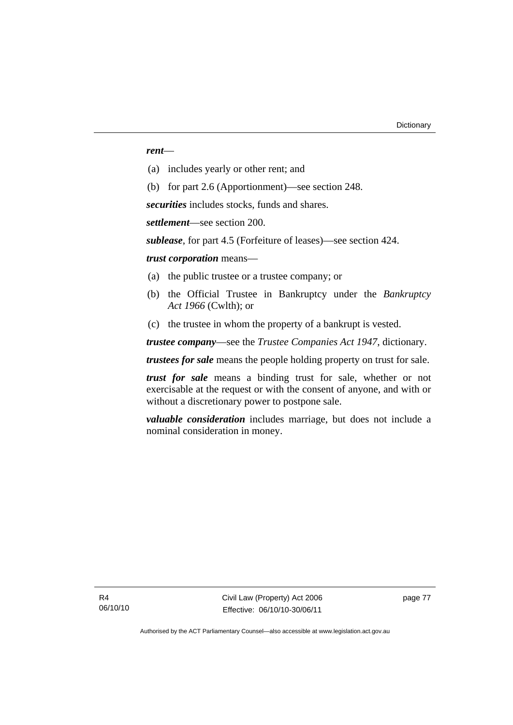#### *rent*—

- (a) includes yearly or other rent; and
- (b) for part 2.6 (Apportionment)—see section 248.

*securities* includes stocks, funds and shares.

*settlement*—see section 200.

*sublease*, for part 4.5 (Forfeiture of leases)—see section 424.

*trust corporation* means—

- (a) the public trustee or a trustee company; or
- (b) the Official Trustee in Bankruptcy under the *Bankruptcy Act 1966* (Cwlth); or
- (c) the trustee in whom the property of a bankrupt is vested.

*trustee company*—see the *Trustee Companies Act 1947*, dictionary.

*trustees for sale* means the people holding property on trust for sale.

*trust for sale* means a binding trust for sale, whether or not exercisable at the request or with the consent of anyone, and with or without a discretionary power to postpone sale.

*valuable consideration* includes marriage, but does not include a nominal consideration in money.

Civil Law (Property) Act 2006 Effective: 06/10/10-30/06/11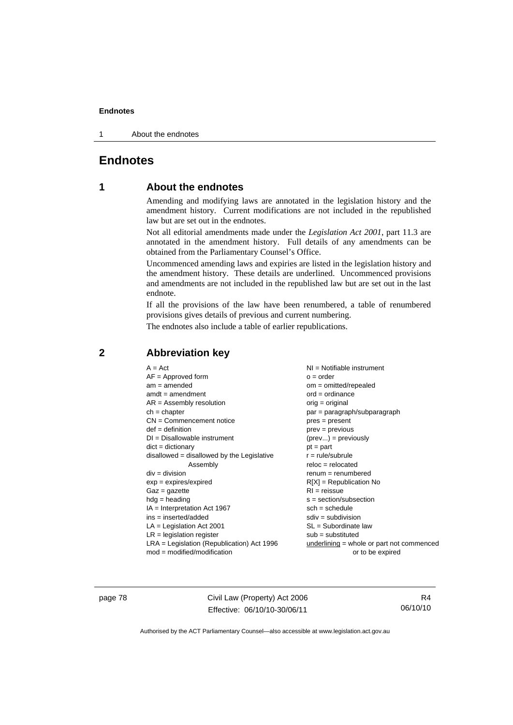#### **Endnotes**

1 About the endnotes

## **Endnotes**

## **1 About the endnotes**

Amending and modifying laws are annotated in the legislation history and the amendment history. Current modifications are not included in the republished law but are set out in the endnotes.

Not all editorial amendments made under the *Legislation Act 2001*, part 11.3 are annotated in the amendment history. Full details of any amendments can be obtained from the Parliamentary Counsel's Office.

Uncommenced amending laws and expiries are listed in the legislation history and the amendment history. These details are underlined. Uncommenced provisions and amendments are not included in the republished law but are set out in the last endnote.

If all the provisions of the law have been renumbered, a table of renumbered provisions gives details of previous and current numbering.

The endnotes also include a table of earlier republications.

| $A = Act$                                    | NI = Notifiable instrument                |
|----------------------------------------------|-------------------------------------------|
| $AF =$ Approved form                         | $o = order$                               |
| $am = amended$                               | om = omitted/repealed                     |
| $amdt = amendment$                           | $ord = ordinance$                         |
| $AR = Assembly resolution$                   | orig = original                           |
| $ch = chapter$                               | par = paragraph/subparagraph              |
| $CN =$ Commencement notice                   | $pres = present$                          |
| $def = definition$                           | $prev = previous$                         |
| $DI = Disallowable instrument$               | $(\text{prev}) = \text{previously}$       |
| $dict = dictionary$                          | $pt = part$                               |
| disallowed = disallowed by the Legislative   | $r = rule/subrule$                        |
| Assembly                                     | $reloc = relocated$                       |
| $div = division$                             | $remum = renumbered$                      |
| $exp = expires/expired$                      | $R[X]$ = Republication No                 |
| $Gaz = gazette$                              | $RI = reissue$                            |
| $hdg = heading$                              | $s = section/subsection$                  |
| $IA = Interpretation Act 1967$               | $sch = schedule$                          |
| $ins = inserted/added$                       | $sdiv = subdivision$                      |
| $LA =$ Legislation Act 2001                  | $SL = Subordinate$ law                    |
| $LR =$ legislation register                  | $sub =$ substituted                       |
| $LRA =$ Legislation (Republication) Act 1996 | underlining = whole or part not commenced |
| $mod = modified/mol$                         | or to be expired                          |

## **2 Abbreviation key**

page 78 Civil Law (Property) Act 2006 Effective: 06/10/10-30/06/11

R4 06/10/10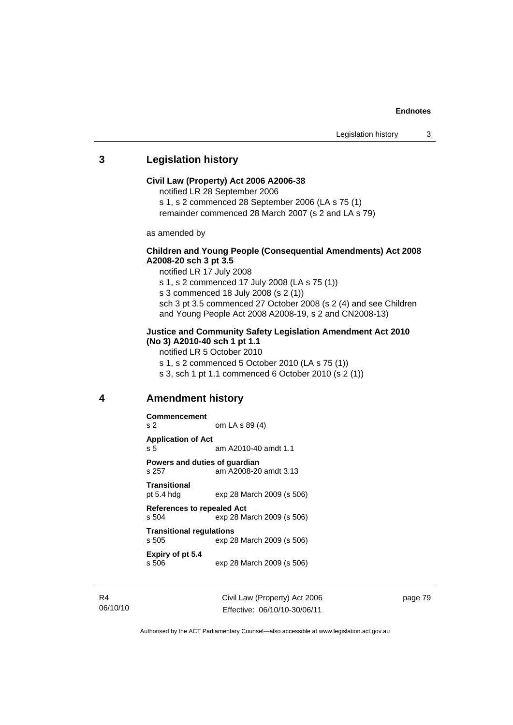#### **Endnotes**

### **3 Legislation history**

#### **Civil Law (Property) Act 2006 A2006-38**

notified LR 28 September 2006

s 1, s 2 commenced 28 September 2006 (LA s 75 (1)

remainder commenced 28 March 2007 (s 2 and LA s 79)

as amended by

#### **Children and Young People (Consequential Amendments) Act 2008 A2008-20 sch 3 pt 3.5**

notified LR 17 July 2008

s 1, s 2 commenced 17 July 2008 (LA s 75 (1))

s 3 commenced 18 July 2008 (s 2 (1))

sch 3 pt 3.5 commenced 27 October 2008 (s 2 (4) and see Children and Young People Act 2008 A2008-19, s 2 and CN2008-13)

#### **Justice and Community Safety Legislation Amendment Act 2010 (No 3) A2010-40 sch 1 pt 1.1**

notified LR 5 October 2010

s 1, s 2 commenced 5 October 2010 (LA s 75 (1))

s 3, sch 1 pt 1.1 commenced 6 October 2010 (s 2 (1))

#### **4 Amendment history**

| <b>Commencement</b>                                                     |                           |  |
|-------------------------------------------------------------------------|---------------------------|--|
| s <sub>2</sub>                                                          | om LA s 89 (4)            |  |
| <b>Application of Act</b><br>s 5                                        | am A2010-40 amdt 1.1      |  |
| Powers and duties of quardian<br>s 257                                  | am A2008-20 amdt 3.13     |  |
| <b>Transitional</b><br>pt 5.4 hdg                                       | exp 28 March 2009 (s 506) |  |
| <b>References to repealed Act</b><br>exp 28 March 2009 (s 506)<br>s 504 |                           |  |
| <b>Transitional regulations</b><br>s 505<br>exp 28 March 2009 (s 506)   |                           |  |
| Expiry of pt 5.4<br>s 506                                               | exp 28 March 2009 (s 506) |  |

R4 06/10/10 Civil Law (Property) Act 2006 Effective: 06/10/10-30/06/11

page 79